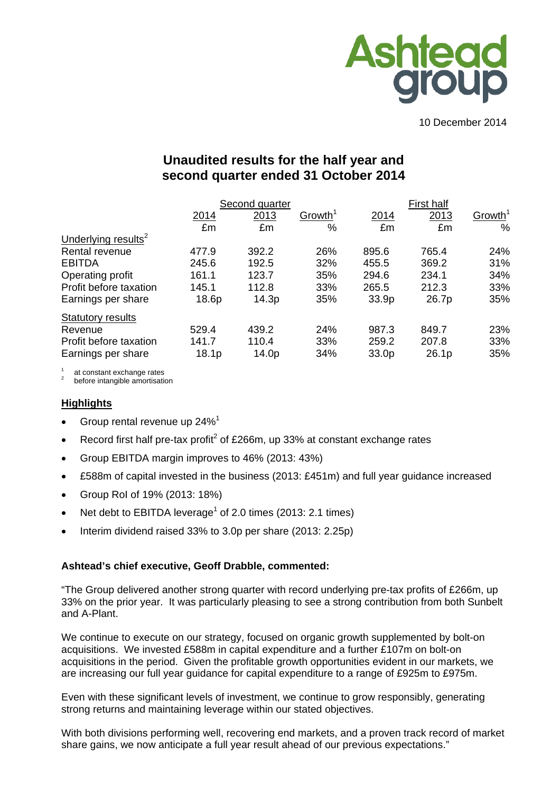

10 December 2014

# **Unaudited results for the half year and second quarter ended 31 October 2014**

|                                 |       | Second quarter |                     |       | <b>First half</b> |                     |  |  |
|---------------------------------|-------|----------------|---------------------|-------|-------------------|---------------------|--|--|
|                                 | 2014  | 2013           | Growth <sup>1</sup> | 2014  | 2013              | Growth <sup>1</sup> |  |  |
|                                 | £m    | £m             | %                   | £m    | £m                | $\%$                |  |  |
| Underlying results <sup>2</sup> |       |                |                     |       |                   |                     |  |  |
| Rental revenue                  | 477.9 | 392.2          | 26%                 | 895.6 | 765.4             | 24%                 |  |  |
| <b>EBITDA</b>                   | 245.6 | 192.5          | 32%                 | 455.5 | 369.2             | 31%                 |  |  |
| Operating profit                | 161.1 | 123.7          | 35%                 | 294.6 | 234.1             | 34%                 |  |  |
| Profit before taxation          | 145.1 | 112.8          | 33%                 | 265.5 | 212.3             | 33%                 |  |  |
| Earnings per share              | 18.6p | 14.3p          | 35%                 | 33.9p | 26.7p             | 35%                 |  |  |
| <b>Statutory results</b>        |       |                |                     |       |                   |                     |  |  |
| Revenue                         | 529.4 | 439.2          | 24%                 | 987.3 | 849.7             | 23%                 |  |  |
| Profit before taxation          | 141.7 | 110.4          | 33%                 | 259.2 | 207.8             | 33%                 |  |  |
| Earnings per share              | 18.1p | 14.0p          | 34%                 | 33.0p | 26.1p             | 35%                 |  |  |

at constant exchange rates<br>before intangible amortisation

#### **Highlights**

- Group rental revenue up  $24\%$ <sup>1</sup>
- Execord first half pre-tax profit<sup>2</sup> of £266m, up 33% at constant exchange rates
- Group EBITDA margin improves to 46% (2013: 43%)
- £588m of capital invested in the business (2013: £451m) and full year guidance increased
- Group RoI of 19% (2013: 18%)
- Net debt to EBITDA leverage<sup>1</sup> of 2.0 times (2013: 2.1 times)
- Interim dividend raised 33% to 3.0p per share (2013: 2.25p)

#### **Ashtead's chief executive, Geoff Drabble, commented:**

"The Group delivered another strong quarter with record underlying pre-tax profits of £266m, up 33% on the prior year. It was particularly pleasing to see a strong contribution from both Sunbelt and A-Plant.

We continue to execute on our strategy, focused on organic growth supplemented by bolt-on acquisitions. We invested £588m in capital expenditure and a further £107m on bolt-on acquisitions in the period. Given the profitable growth opportunities evident in our markets, we are increasing our full year guidance for capital expenditure to a range of £925m to £975m.

Even with these significant levels of investment, we continue to grow responsibly, generating strong returns and maintaining leverage within our stated objectives.

With both divisions performing well, recovering end markets, and a proven track record of market share gains, we now anticipate a full year result ahead of our previous expectations."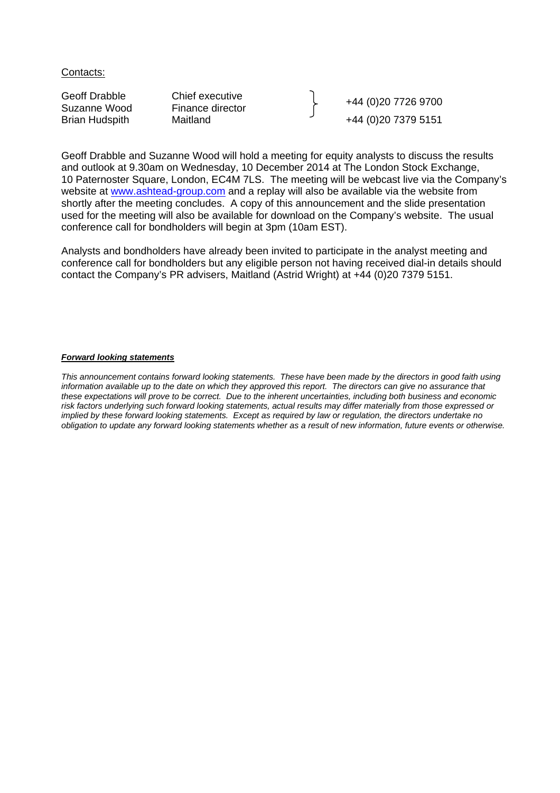Contacts:

Geoff Drabble Chief executive<br>
Suzanne Wood Finance director Finance Herberton (1980) 19726 9700 Brian Hudspith Maitland +44 (0)20 7379 5151

Geoff Drabble and Suzanne Wood will hold a meeting for equity analysts to discuss the results and outlook at 9.30am on Wednesday, 10 December 2014 at The London Stock Exchange, 10 Paternoster Square, London, EC4M 7LS. The meeting will be webcast live via the Company's website at www.ashtead-group.com and a replay will also be available via the website from shortly after the meeting concludes. A copy of this announcement and the slide presentation used for the meeting will also be available for download on the Company's website. The usual conference call for bondholders will begin at 3pm (10am EST).

Analysts and bondholders have already been invited to participate in the analyst meeting and conference call for bondholders but any eligible person not having received dial-in details should contact the Company's PR advisers, Maitland (Astrid Wright) at +44 (0)20 7379 5151.

#### *Forward looking statements*

*This announcement contains forward looking statements. These have been made by the directors in good faith using information available up to the date on which they approved this report. The directors can give no assurance that these expectations will prove to be correct. Due to the inherent uncertainties, including both business and economic risk factors underlying such forward looking statements, actual results may differ materially from those expressed or implied by these forward looking statements. Except as required by law or regulation, the directors undertake no obligation to update any forward looking statements whether as a result of new information, future events or otherwise.*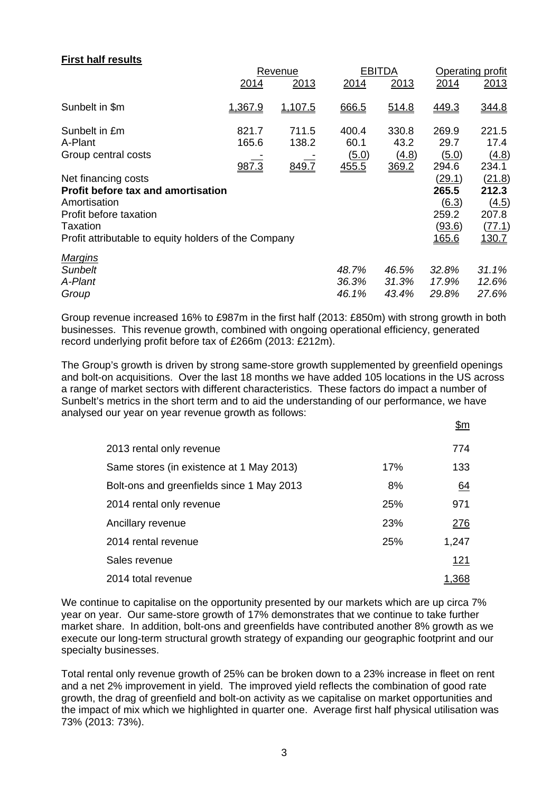## **First half results**

|                                                      |                | Revenue        |                       | <b>EBITDA</b>  | Operating profit |                |  |
|------------------------------------------------------|----------------|----------------|-----------------------|----------------|------------------|----------------|--|
|                                                      | 2014           | 2013           | 2014                  | 2013           | 2014             | 2013           |  |
| Sunbelt in \$m                                       | 1,367.9        | 1,107.5        | 666.5                 | 514.8          | 449.3            | 344.8          |  |
| Sunbelt in £m<br>A-Plant                             | 821.7<br>165.6 | 711.5<br>138.2 | 400.4<br>60.1         | 330.8<br>43.2  | 269.9<br>29.7    | 221.5<br>17.4  |  |
| Group central costs                                  | 987.3          | 849.7          | <u>(5.0)</u><br>455.5 | (4.8)<br>369.2 | (5.0)<br>294.6   | (4.8)<br>234.1 |  |
| Net financing costs                                  |                |                |                       |                | <u>(29.1)</u>    | (21.8)         |  |
| <b>Profit before tax and amortisation</b>            |                |                |                       |                | 265.5            | 212.3          |  |
| Amortisation                                         |                |                |                       |                | (6.3)            | (4.5)          |  |
| Profit before taxation                               |                |                |                       |                | 259.2            | 207.8          |  |
| <b>Taxation</b>                                      |                |                |                       |                | (93.6)           | (77.1)         |  |
| Profit attributable to equity holders of the Company |                |                |                       |                | <u>165.6</u>     | 130.7          |  |
| <b>Margins</b>                                       |                |                |                       |                |                  |                |  |
| <b>Sunbelt</b>                                       |                |                | 48.7%                 | 46.5%          | 32.8%            | 31.1%          |  |
| A-Plant                                              |                |                | 36.3%                 | 31.3%          | 17.9%            | 12.6%          |  |
| Group                                                |                |                | 46.1%                 | 43.4%          | 29.8%            | 27.6%          |  |
|                                                      |                |                |                       |                |                  |                |  |

Group revenue increased 16% to £987m in the first half (2013: £850m) with strong growth in both businesses. This revenue growth, combined with ongoing operational efficiency, generated record underlying profit before tax of £266m (2013: £212m).

The Group's growth is driven by strong same-store growth supplemented by greenfield openings and bolt-on acquisitions. Over the last 18 months we have added 105 locations in the US across a range of market sectors with different characteristics. These factors do impact a number of Sunbelt's metrics in the short term and to aid the understanding of our performance, we have analysed our year on year revenue growth as follows:

|                                           |     | <u>\$m</u> |
|-------------------------------------------|-----|------------|
| 2013 rental only revenue                  |     | 774        |
| Same stores (in existence at 1 May 2013)  | 17% | 133        |
| Bolt-ons and greenfields since 1 May 2013 | 8%  | 64         |
| 2014 rental only revenue                  | 25% | 971        |
| Ancillary revenue                         | 23% | 276        |
| 2014 rental revenue                       | 25% | 1,247      |
| Sales revenue                             |     | 121        |
| 2014 total revenue                        |     | 1,368      |

We continue to capitalise on the opportunity presented by our markets which are up circa 7% year on year. Our same-store growth of 17% demonstrates that we continue to take further market share. In addition, bolt-ons and greenfields have contributed another 8% growth as we execute our long-term structural growth strategy of expanding our geographic footprint and our specialty businesses.

Total rental only revenue growth of 25% can be broken down to a 23% increase in fleet on rent and a net 2% improvement in yield. The improved yield reflects the combination of good rate growth, the drag of greenfield and bolt-on activity as we capitalise on market opportunities and the impact of mix which we highlighted in quarter one. Average first half physical utilisation was 73% (2013: 73%).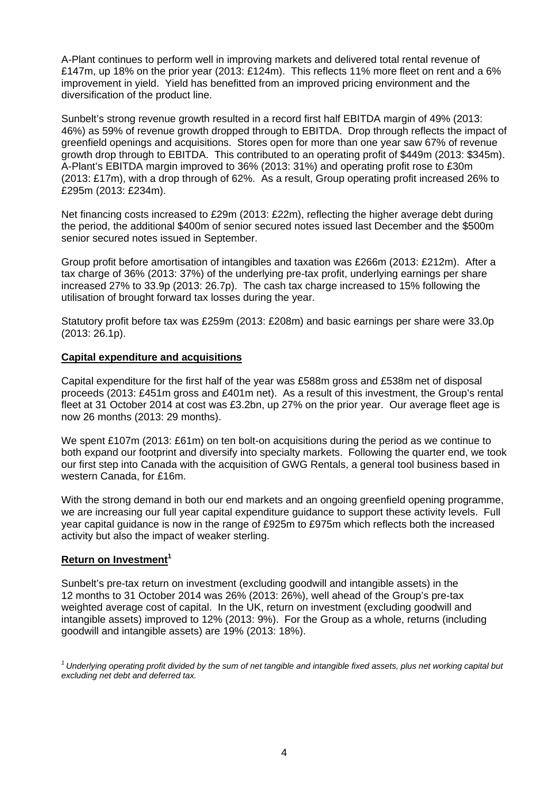A-Plant continues to perform well in improving markets and delivered total rental revenue of £147m, up 18% on the prior year (2013: £124m). This reflects 11% more fleet on rent and a 6% improvement in yield. Yield has benefitted from an improved pricing environment and the diversification of the product line.

Sunbelt's strong revenue growth resulted in a record first half EBITDA margin of 49% (2013: 46%) as 59% of revenue growth dropped through to EBITDA. Drop through reflects the impact of greenfield openings and acquisitions. Stores open for more than one year saw 67% of revenue growth drop through to EBITDA. This contributed to an operating profit of \$449m (2013: \$345m). A-Plant's EBITDA margin improved to 36% (2013: 31%) and operating profit rose to £30m (2013: £17m), with a drop through of 62%. As a result, Group operating profit increased 26% to £295m (2013: £234m).

Net financing costs increased to £29m (2013: £22m), reflecting the higher average debt during the period, the additional \$400m of senior secured notes issued last December and the \$500m senior secured notes issued in September.

Group profit before amortisation of intangibles and taxation was £266m (2013: £212m). After a tax charge of 36% (2013: 37%) of the underlying pre-tax profit, underlying earnings per share increased 27% to 33.9p (2013: 26.7p). The cash tax charge increased to 15% following the utilisation of brought forward tax losses during the year.

Statutory profit before tax was £259m (2013: £208m) and basic earnings per share were 33.0p (2013: 26.1p).

## **Capital expenditure and acquisitions**

Capital expenditure for the first half of the year was £588m gross and £538m net of disposal proceeds (2013: £451m gross and £401m net). As a result of this investment, the Group's rental fleet at 31 October 2014 at cost was £3.2bn, up 27% on the prior year. Our average fleet age is now 26 months (2013: 29 months).

We spent £107m (2013: £61m) on ten bolt-on acquisitions during the period as we continue to both expand our footprint and diversify into specialty markets. Following the quarter end, we took our first step into Canada with the acquisition of GWG Rentals, a general tool business based in western Canada, for £16m.

With the strong demand in both our end markets and an ongoing greenfield opening programme. we are increasing our full year capital expenditure guidance to support these activity levels. Full year capital guidance is now in the range of £925m to £975m which reflects both the increased activity but also the impact of weaker sterling.

## **Return on Investment<sup>1</sup>**

Sunbelt's pre-tax return on investment (excluding goodwill and intangible assets) in the 12 months to 31 October 2014 was 26% (2013: 26%), well ahead of the Group's pre-tax weighted average cost of capital. In the UK, return on investment (excluding goodwill and intangible assets) improved to 12% (2013: 9%). For the Group as a whole, returns (including goodwill and intangible assets) are 19% (2013: 18%).

*1 Underlying operating profit divided by the sum of net tangible and intangible fixed assets, plus net working capital but excluding net debt and deferred tax.*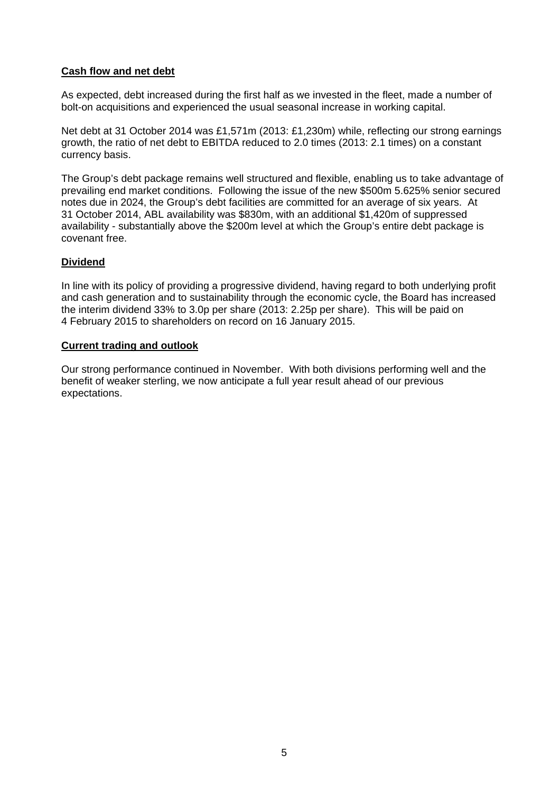## **Cash flow and net debt**

As expected, debt increased during the first half as we invested in the fleet, made a number of bolt-on acquisitions and experienced the usual seasonal increase in working capital.

Net debt at 31 October 2014 was £1,571m (2013: £1,230m) while, reflecting our strong earnings growth, the ratio of net debt to EBITDA reduced to 2.0 times (2013: 2.1 times) on a constant currency basis.

The Group's debt package remains well structured and flexible, enabling us to take advantage of prevailing end market conditions. Following the issue of the new \$500m 5.625% senior secured notes due in 2024, the Group's debt facilities are committed for an average of six years. At 31 October 2014, ABL availability was \$830m, with an additional \$1,420m of suppressed availability - substantially above the \$200m level at which the Group's entire debt package is covenant free.

## **Dividend**

In line with its policy of providing a progressive dividend, having regard to both underlying profit and cash generation and to sustainability through the economic cycle, the Board has increased the interim dividend 33% to 3.0p per share (2013: 2.25p per share). This will be paid on 4 February 2015 to shareholders on record on 16 January 2015.

## **Current trading and outlook**

Our strong performance continued in November. With both divisions performing well and the benefit of weaker sterling, we now anticipate a full year result ahead of our previous expectations.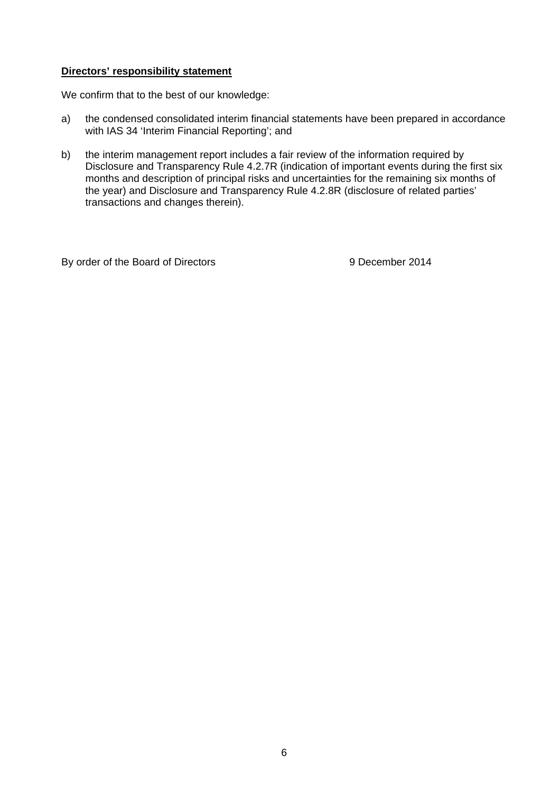## **Directors' responsibility statement**

We confirm that to the best of our knowledge:

- a) the condensed consolidated interim financial statements have been prepared in accordance with IAS 34 'Interim Financial Reporting'; and
- b) the interim management report includes a fair review of the information required by Disclosure and Transparency Rule 4.2.7R (indication of important events during the first six months and description of principal risks and uncertainties for the remaining six months of the year) and Disclosure and Transparency Rule 4.2.8R (disclosure of related parties' transactions and changes therein).

By order of the Board of Directors 8 0 9 December 2014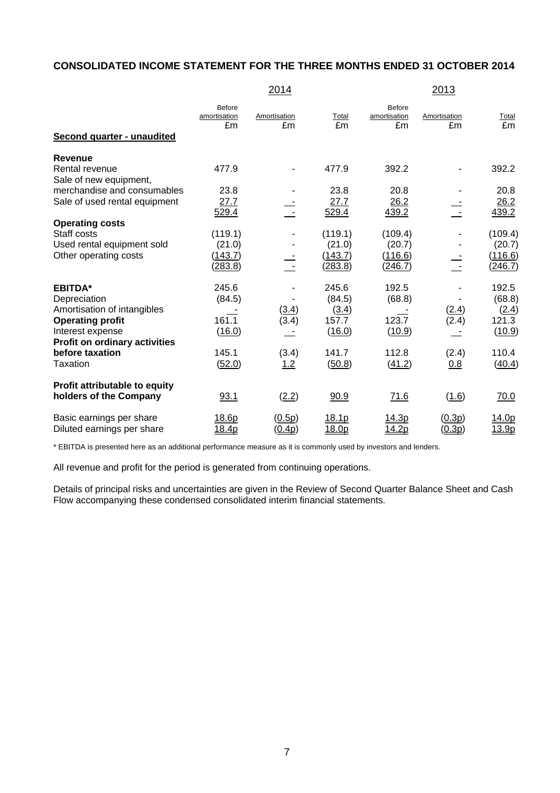# **CONSOLIDATED INCOME STATEMENT FOR THE THREE MONTHS ENDED 31 OCTOBER 2014**

|                                                         |                              | 2014               |                   |                              | 2013               |                    |
|---------------------------------------------------------|------------------------------|--------------------|-------------------|------------------------------|--------------------|--------------------|
| Second quarter - unaudited                              | Before<br>amortisation<br>£m | Amortisation<br>£m | Total<br>£m       | Before<br>amortisation<br>£m | Amortisation<br>£m | <b>Total</b><br>£m |
| <b>Revenue</b>                                          |                              |                    |                   |                              |                    |                    |
| Rental revenue<br>Sale of new equipment,                | 477.9                        |                    | 477.9             | 392.2                        |                    | 392.2              |
| merchandise and consumables                             | 23.8                         |                    | 23.8              | 20.8                         |                    | 20.8               |
| Sale of used rental equipment                           | 27.7<br>529.4                |                    | 27.7<br>529.4     | 26.2<br>439.2                |                    | 26.2<br>439.2      |
| <b>Operating costs</b>                                  |                              |                    |                   |                              |                    |                    |
| Staff costs                                             | (119.1)                      |                    | (119.1)           | (109.4)                      |                    | (109.4)            |
| Used rental equipment sold<br>Other operating costs     | (21.0)<br>(143.7)            |                    | (21.0)<br>(143.7) | (20.7)<br>(116.6)            |                    | (20.7)<br>(116.6)  |
|                                                         | (283.8)                      |                    | (283.8)           | (246.7)                      |                    | (246.7)            |
| <b>EBITDA*</b>                                          | 245.6                        |                    | 245.6             | 192.5                        |                    | 192.5              |
| Depreciation                                            | (84.5)                       |                    | (84.5)            | (68.8)                       |                    | (68.8)             |
| Amortisation of intangibles                             |                              | (3.4)              | (3.4)             |                              | (2.4)              | (2.4)              |
| <b>Operating profit</b>                                 | 161.1                        | (3.4)              | 157.7             | 123.7                        | (2.4)              | 121.3              |
| Interest expense                                        | (16.0)                       |                    | (16.0)            | (10.9)                       |                    | (10.9)             |
| <b>Profit on ordinary activities</b><br>before taxation | 145.1                        | (3.4)              | 141.7             | 112.8                        | (2.4)              | 110.4              |
| Taxation                                                | (52.0)                       | 1.2                | (50.8)            | (41.2)                       | 0.8                | (40.4)             |
| Profit attributable to equity                           |                              |                    |                   |                              |                    |                    |
| holders of the Company                                  | 93.1                         | (2.2)              | 90.9              | 71.6                         | (1.6)              | 70.0               |
| Basic earnings per share                                | 18.6p                        | (0.5p)             | 18.1p             | 14.3p                        | (0.3p)             | 14.0p              |
| Diluted earnings per share                              | 18.4p                        | <u>(0.4p)</u>      | 18.0p             | <u> 14.2p</u>                | <u>(0.3p)</u>      | <u>13.9p</u>       |

\* EBITDA is presented here as an additional performance measure as it is commonly used by investors and lenders.

All revenue and profit for the period is generated from continuing operations.

Details of principal risks and uncertainties are given in the Review of Second Quarter Balance Sheet and Cash Flow accompanying these condensed consolidated interim financial statements.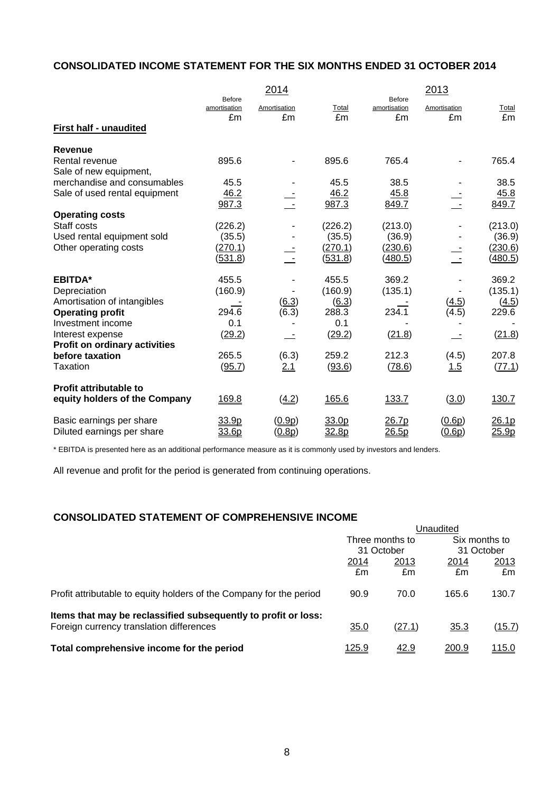# **CONSOLIDATED INCOME STATEMENT FOR THE SIX MONTHS ENDED 31 OCTOBER 2014**

|                                      |                        | 2014                |         |                        | 2013          |         |
|--------------------------------------|------------------------|---------------------|---------|------------------------|---------------|---------|
|                                      | Before<br>amortisation | Amortisation        | Total   | Before<br>amortisation | Amortisation  | Total   |
|                                      | £m                     | £m                  | £m      | £m                     | £m            | £m      |
| <b>First half - unaudited</b>        |                        |                     |         |                        |               |         |
| <b>Revenue</b>                       |                        |                     |         |                        |               |         |
| Rental revenue                       | 895.6                  |                     | 895.6   | 765.4                  |               | 765.4   |
| Sale of new equipment,               |                        |                     |         |                        |               |         |
| merchandise and consumables          | 45.5                   |                     | 45.5    | 38.5                   |               | 38.5    |
| Sale of used rental equipment        | 46.2                   |                     | 46.2    | 45.8                   |               | 45.8    |
|                                      | 987.3                  |                     | 987.3   | 849.7                  |               | 849.7   |
| <b>Operating costs</b>               |                        |                     |         |                        |               |         |
| Staff costs                          | (226.2)                |                     | (226.2) | (213.0)                |               | (213.0) |
| Used rental equipment sold           | (35.5)                 |                     | (35.5)  | (36.9)                 |               | (36.9)  |
| Other operating costs                | (270.1)                |                     | (270.1) | (230.6)                |               | (230.6) |
|                                      | <u>(531.8)</u>         |                     | (531.8) | (480.5)                |               | (480.5) |
| <b>EBITDA*</b>                       | 455.5                  |                     | 455.5   | 369.2                  |               | 369.2   |
| Depreciation                         | (160.9)                |                     | (160.9) | (135.1)                |               | (135.1) |
| Amortisation of intangibles          |                        | $\underline{(6.3)}$ | (6.3)   |                        | (4.5)         | (4.5)   |
| <b>Operating profit</b>              | 294.6                  | (6.3)               | 288.3   | 234.1                  | (4.5)         | 229.6   |
| Investment income                    | 0.1                    |                     | 0.1     |                        |               |         |
| Interest expense                     | (29.2)                 |                     | (29.2)  | (21.8)                 |               | (21.8)  |
| <b>Profit on ordinary activities</b> |                        |                     |         |                        |               |         |
| before taxation                      | 265.5                  | (6.3)               | 259.2   | 212.3                  | (4.5)         | 207.8   |
| <b>Taxation</b>                      | (95.7)                 | 2.1                 | (93.6)  | (78.6)                 | 1.5           | (77.1)  |
| <b>Profit attributable to</b>        |                        |                     |         |                        |               |         |
| equity holders of the Company        | 169.8                  | (4.2)               | 165.6   | 133.7                  | (3.0)         | 130.7   |
| Basic earnings per share             | 33.9p                  | (0.9p)              | 33.0p   | 26.7p                  | (0.6p)        | 26.1p   |
| Diluted earnings per share           | 33.6p                  | <u>(0.8p)</u>       | 32.8p   | 26.5p                  | <u>(0.6p)</u> | 25.9p   |

\* EBITDA is presented here as an additional performance measure as it is commonly used by investors and lenders.

All revenue and profit for the period is generated from continuing operations.

# **CONSOLIDATED STATEMENT OF COMPREHENSIVE INCOME**

|                                                                     | Unaudited     |                 |            |               |
|---------------------------------------------------------------------|---------------|-----------------|------------|---------------|
|                                                                     |               | Three months to |            | Six months to |
|                                                                     |               | 31 October      | 31 October |               |
|                                                                     | 2014          | 2013            | 2014       | 2013          |
|                                                                     | £m            | £m              | £m         | £m            |
| Profit attributable to equity holders of the Company for the period | 90.9          | 70.0            | 165.6      | 130.7         |
| Items that may be reclassified subsequently to profit or loss:      |               |                 |            |               |
| Foreign currency translation differences                            | 35.0          | (27.1)          | 35.3       | (15.7)        |
| Total comprehensive income for the period                           | <u> 125.9</u> | 42.9            | 200.9      | 115.0         |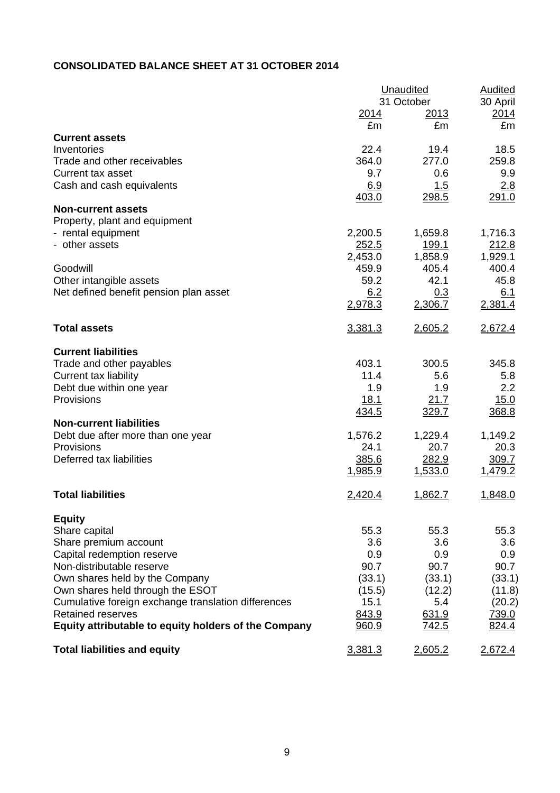# **CONSOLIDATED BALANCE SHEET AT 31 OCTOBER 2014**

|                                                      | <b>Unaudited</b> | <b>Audited</b>            |                  |
|------------------------------------------------------|------------------|---------------------------|------------------|
|                                                      | <u>2014</u>      | 31 October<br><u>2013</u> | 30 April<br>2014 |
|                                                      | £m               | £m                        | £m               |
| <b>Current assets</b>                                |                  |                           |                  |
| Inventories                                          | 22.4             | 19.4                      | 18.5             |
| Trade and other receivables                          | 364.0            | 277.0                     | 259.8            |
| Current tax asset                                    | 9.7              | 0.6                       | 9.9              |
| Cash and cash equivalents                            | 6.9              | 1.5                       | 2.8              |
|                                                      | 403.0            | 298.5                     | 291.0            |
| <b>Non-current assets</b>                            |                  |                           |                  |
| Property, plant and equipment                        |                  |                           |                  |
| - rental equipment                                   | 2,200.5          | 1,659.8                   | 1,716.3          |
| - other assets                                       | 252.5            | <u>199.1</u>              | 212.8            |
|                                                      | 2,453.0          | 1,858.9                   | 1,929.1          |
| Goodwill                                             | 459.9            | 405.4                     | 400.4            |
| Other intangible assets                              | 59.2             | 42.1                      | 45.8             |
| Net defined benefit pension plan asset               | 6.2              | 0.3                       | 6.1              |
|                                                      | 2,978.3          | 2,306.7                   | 2,381.4          |
| <b>Total assets</b>                                  | 3,381.3          | 2,605.2                   | 2,672.4          |
| <b>Current liabilities</b>                           |                  |                           |                  |
| Trade and other payables                             | 403.1            | 300.5                     | 345.8            |
| <b>Current tax liability</b>                         | 11.4             | 5.6                       | 5.8              |
| Debt due within one year                             | 1.9              | 1.9                       | 2.2              |
| Provisions                                           | <u>18.1</u>      | 21.7                      | 15.0             |
|                                                      | <u>434.5</u>     | 329.7                     | 368.8            |
| <b>Non-current liabilities</b>                       |                  |                           |                  |
| Debt due after more than one year                    | 1,576.2          | 1,229.4                   | 1,149.2          |
| Provisions                                           | 24.1             | 20.7                      | 20.3             |
| Deferred tax liabilities                             | 385.6            | 282.9                     | 309.7            |
|                                                      | <u>1,985.9</u>   | 1,533.0                   | 1,479.2          |
| <b>Total liabilities</b>                             | 2,420.4          | 1,862.7                   | 1,848.0          |
| <b>Equity</b>                                        |                  |                           |                  |
| Share capital                                        | 55.3             | 55.3                      | 55.3             |
| Share premium account                                | 3.6              | 3.6                       | 3.6              |
| Capital redemption reserve                           | 0.9              | 0.9                       | 0.9              |
| Non-distributable reserve                            | 90.7             | 90.7                      | 90.7             |
| Own shares held by the Company                       | (33.1)           | (33.1)                    | (33.1)           |
| Own shares held through the ESOT                     | (15.5)           | (12.2)                    | (11.8)           |
| Cumulative foreign exchange translation differences  | 15.1             | 5.4                       | (20.2)           |
| <b>Retained reserves</b>                             | 843.9            | 631.9                     | 739.0            |
| Equity attributable to equity holders of the Company | 960.9            | 742.5                     | 824.4            |
| <b>Total liabilities and equity</b>                  | 3,381.3          | 2,605.2                   | <u>2,672.4</u>   |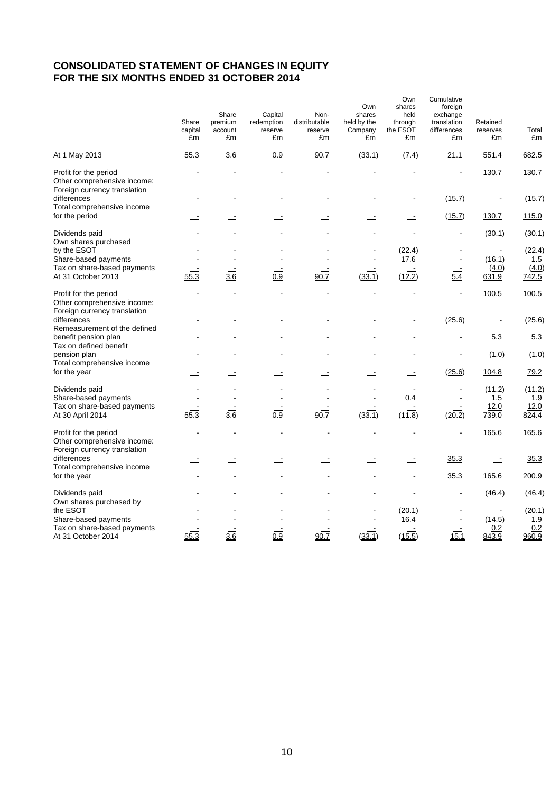#### **CONSOLIDATED STATEMENT OF CHANGES IN EQUITY FOR THE SIX MONTHS ENDED 31 OCTOBER 2014**

|                                                                                      | Share<br>capital<br>£m | Share<br>premium<br>account<br>£m | Capital<br>redemption<br>reserve<br>£m | Non-<br>distributable<br>reserve<br>£m | Own<br>shares<br>held by the<br>Company<br>£m | Own<br>shares<br>held<br>through<br>the ESOT<br>£m | Cumulative<br>foreign<br>exchange<br>translation<br>differences<br>£m | Retained<br>reserves<br>£m | Total<br>£m   |
|--------------------------------------------------------------------------------------|------------------------|-----------------------------------|----------------------------------------|----------------------------------------|-----------------------------------------------|----------------------------------------------------|-----------------------------------------------------------------------|----------------------------|---------------|
| At 1 May 2013                                                                        | 55.3                   | 3.6                               | 0.9                                    | 90.7                                   | (33.1)                                        | (7.4)                                              | 21.1                                                                  | 551.4                      | 682.5         |
| Profit for the period<br>Other comprehensive income:<br>Foreign currency translation |                        |                                   |                                        |                                        |                                               |                                                    |                                                                       | 130.7                      | 130.7         |
| differences<br>Total comprehensive income                                            |                        |                                   |                                        |                                        |                                               |                                                    | (15.7)                                                                | $\equiv$                   | (15.7)        |
| for the period                                                                       |                        |                                   |                                        |                                        |                                               |                                                    | (15.7)                                                                | 130.7                      | 115.0         |
| Dividends paid<br>Own shares purchased                                               |                        |                                   |                                        |                                        |                                               |                                                    | $\blacksquare$                                                        | (30.1)                     | (30.1)        |
| by the ESOT                                                                          |                        |                                   |                                        |                                        |                                               | (22.4)                                             |                                                                       |                            | (22.4)        |
| Share-based payments<br>Tax on share-based payments                                  |                        |                                   |                                        |                                        |                                               | 17.6                                               | $\ddot{\phantom{0}}$                                                  | (16.1)<br>(4.0)            | 1.5<br>(4.0)  |
| At 31 October 2013                                                                   | 55.3                   | 3.6                               | 0.9                                    | 90.7                                   | (33.1)                                        | (12.2)                                             | $\overline{5.4}$                                                      | 631.9                      | 742.5         |
| Profit for the period<br>Other comprehensive income:<br>Foreign currency translation |                        |                                   |                                        |                                        |                                               |                                                    |                                                                       | 100.5                      | 100.5         |
| differences                                                                          |                        |                                   |                                        |                                        |                                               |                                                    | (25.6)                                                                |                            | (25.6)        |
| Remeasurement of the defined<br>benefit pension plan<br>Tax on defined benefit       |                        |                                   |                                        |                                        |                                               |                                                    |                                                                       | 5.3                        | 5.3           |
| pension plan<br>Total comprehensive income                                           |                        |                                   |                                        |                                        |                                               |                                                    |                                                                       | (1.0)                      | (1.0)         |
| for the year                                                                         |                        |                                   |                                        |                                        |                                               |                                                    | (25.6)                                                                | 104.8                      | 79.2          |
| Dividends paid<br>Share-based payments                                               |                        |                                   |                                        |                                        |                                               | 0.4                                                |                                                                       | (11.2)<br>1.5              | (11.2)<br>1.9 |
| Tax on share-based payments<br>At 30 April 2014                                      | 55.3                   | 3.6                               | 0.9                                    | 90.7                                   | (33.1)                                        | (11.8)                                             | (20.2)                                                                | 12.0<br>739.0              | 12.0<br>824.4 |
| Profit for the period<br>Other comprehensive income:<br>Foreign currency translation |                        |                                   |                                        |                                        |                                               |                                                    |                                                                       | 165.6                      | 165.6         |
| differences<br>Total comprehensive income                                            |                        |                                   |                                        |                                        |                                               |                                                    | 35.3                                                                  | $\equiv$                   | 35.3          |
| for the year                                                                         |                        | $\equiv$                          |                                        | $\equiv$                               |                                               | $\equiv$                                           | 35.3                                                                  | 165.6                      | 200.9         |
| Dividends paid<br>Own shares purchased by                                            |                        |                                   |                                        |                                        |                                               |                                                    |                                                                       | (46.4)                     | (46.4)        |
| the ESOT                                                                             |                        |                                   |                                        |                                        |                                               | (20.1)                                             |                                                                       |                            | (20.1)        |
| Share-based payments<br>Tax on share-based payments                                  |                        |                                   |                                        |                                        |                                               | 16.4                                               |                                                                       | (14.5)<br>0.2              | 1.9<br>0.2    |
| At 31 October 2014                                                                   | 55.3                   | 3.6                               | 0.9                                    | 90.7                                   | (33.1)                                        | (15.5)                                             | 15.1                                                                  | 843.9                      | 960.9         |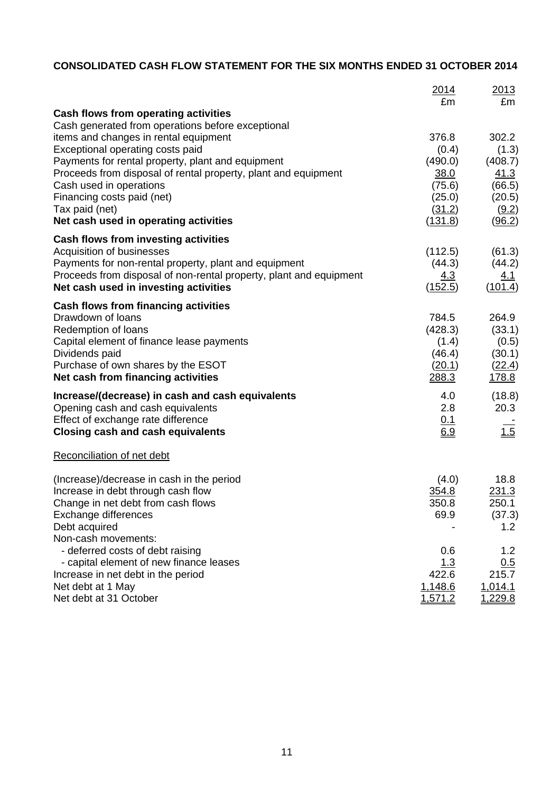# **CONSOLIDATED CASH FLOW STATEMENT FOR THE SIX MONTHS ENDED 31 OCTOBER 2014**

|                                                                               | 2014<br>£m               | 2013<br>£m        |
|-------------------------------------------------------------------------------|--------------------------|-------------------|
| <b>Cash flows from operating activities</b>                                   |                          |                   |
| Cash generated from operations before exceptional                             |                          |                   |
| items and changes in rental equipment                                         | 376.8                    | 302.2             |
| Exceptional operating costs paid                                              | (0.4)                    | (1.3)             |
| Payments for rental property, plant and equipment                             | (490.0)                  | (408.7)           |
| Proceeds from disposal of rental property, plant and equipment                | 38.0                     | 41.3              |
| Cash used in operations                                                       | (75.6)                   | (66.5)            |
| Financing costs paid (net)                                                    | (25.0)                   | (20.5)            |
| Tax paid (net)<br>Net cash used in operating activities                       | (31.2)<br><u>(131.8)</u> | (9.2)<br>(96.2)   |
|                                                                               |                          |                   |
| <b>Cash flows from investing activities</b><br>Acquisition of businesses      | (112.5)                  | (61.3)            |
| Payments for non-rental property, plant and equipment                         | (44.3)                   | (44.2)            |
| Proceeds from disposal of non-rental property, plant and equipment            | <u>4.3</u>               | <u>4.1</u>        |
| Net cash used in investing activities                                         | (152.5)                  | (101.4)           |
| Cash flows from financing activities                                          |                          |                   |
| Drawdown of loans                                                             | 784.5                    | 264.9             |
| Redemption of loans                                                           | (428.3)                  | (33.1)            |
| Capital element of finance lease payments                                     | (1.4)                    | (0.5)             |
| Dividends paid                                                                | (46.4)                   | (30.1)            |
| Purchase of own shares by the ESOT                                            | (20.1)                   | (22.4)            |
| Net cash from financing activities                                            | 288.3                    | <u>178.8</u>      |
| Increase/(decrease) in cash and cash equivalents                              | 4.0                      | (18.8)            |
| Opening cash and cash equivalents                                             | 2.8                      | 20.3              |
| Effect of exchange rate difference                                            | 0.1                      |                   |
| <b>Closing cash and cash equivalents</b>                                      | 6.9                      | $\frac{1.5}{1.5}$ |
| Reconciliation of net debt                                                    |                          |                   |
| (Increase)/decrease in cash in the period                                     | (4.0)                    | 18.8              |
| Increase in debt through cash flow                                            | 354.8                    | 231.3             |
| Change in net debt from cash flows                                            | 350.8                    | 250.1             |
| Exchange differences                                                          | 69.9                     | (37.3)            |
| Debt acquired                                                                 |                          | 1.2               |
| Non-cash movements:                                                           |                          |                   |
| - deferred costs of debt raising                                              | 0.6                      | 1.2               |
| - capital element of new finance leases<br>Increase in net debt in the period | 1.3<br>422.6             | 0.5<br>215.7      |
| Net debt at 1 May                                                             | 1,148.6                  | 1,014.1           |
| Net debt at 31 October                                                        | 1,571.2                  | 1,229.8           |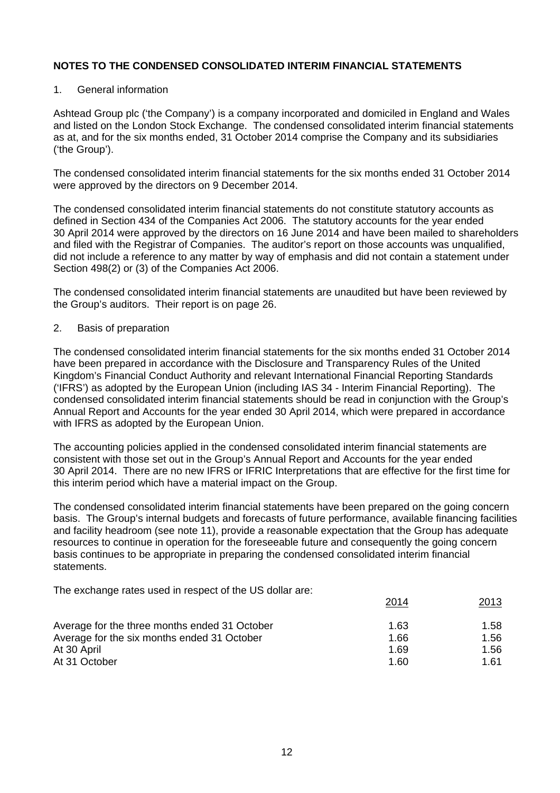#### 1. General information

Ashtead Group plc ('the Company') is a company incorporated and domiciled in England and Wales and listed on the London Stock Exchange. The condensed consolidated interim financial statements as at, and for the six months ended, 31 October 2014 comprise the Company and its subsidiaries ('the Group').

The condensed consolidated interim financial statements for the six months ended 31 October 2014 were approved by the directors on 9 December 2014.

The condensed consolidated interim financial statements do not constitute statutory accounts as defined in Section 434 of the Companies Act 2006. The statutory accounts for the year ended 30 April 2014 were approved by the directors on 16 June 2014 and have been mailed to shareholders and filed with the Registrar of Companies. The auditor's report on those accounts was unqualified, did not include a reference to any matter by way of emphasis and did not contain a statement under Section 498(2) or (3) of the Companies Act 2006.

The condensed consolidated interim financial statements are unaudited but have been reviewed by the Group's auditors. Their report is on page 26.

#### 2. Basis of preparation

The condensed consolidated interim financial statements for the six months ended 31 October 2014 have been prepared in accordance with the Disclosure and Transparency Rules of the United Kingdom's Financial Conduct Authority and relevant International Financial Reporting Standards ('IFRS') as adopted by the European Union (including IAS 34 - Interim Financial Reporting). The condensed consolidated interim financial statements should be read in conjunction with the Group's Annual Report and Accounts for the year ended 30 April 2014, which were prepared in accordance with IFRS as adopted by the European Union.

The accounting policies applied in the condensed consolidated interim financial statements are consistent with those set out in the Group's Annual Report and Accounts for the year ended 30 April 2014. There are no new IFRS or IFRIC Interpretations that are effective for the first time for this interim period which have a material impact on the Group.

The condensed consolidated interim financial statements have been prepared on the going concern basis. The Group's internal budgets and forecasts of future performance, available financing facilities and facility headroom (see note 11), provide a reasonable expectation that the Group has adequate resources to continue in operation for the foreseeable future and consequently the going concern basis continues to be appropriate in preparing the condensed consolidated interim financial statements.

The exchange rates used in respect of the US dollar are:

|                                               | 2014 | 2013 |
|-----------------------------------------------|------|------|
| Average for the three months ended 31 October | 1.63 | 1.58 |
| Average for the six months ended 31 October   | 1.66 | 1.56 |
| At 30 April                                   | 1.69 | 1.56 |
| At 31 October                                 | 1.60 | 1.61 |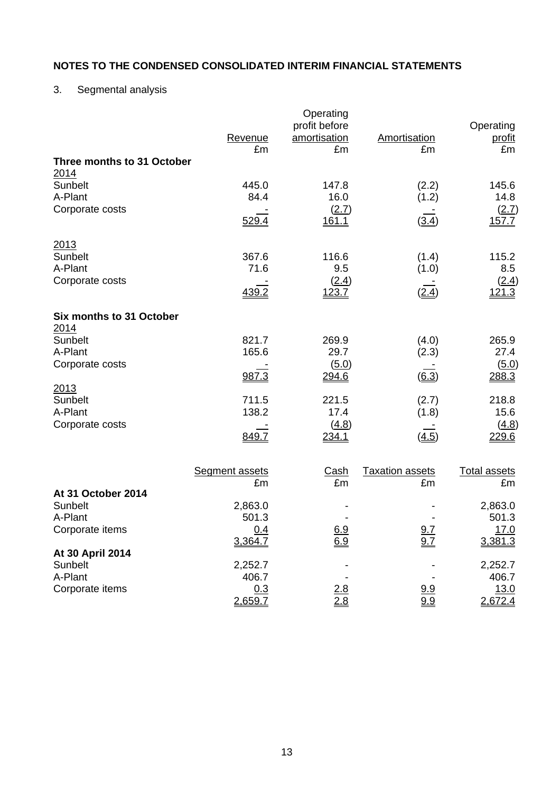# 3. Segmental analysis

|                                    | Revenue<br>£m         | Operating<br>profit before<br>amortisation<br>£m | Amortisation<br>£m     | Operating<br><u>profit</u><br>£m |
|------------------------------------|-----------------------|--------------------------------------------------|------------------------|----------------------------------|
| Three months to 31 October<br>2014 |                       |                                                  |                        |                                  |
| Sunbelt                            | 445.0                 | 147.8                                            | (2.2)                  | 145.6                            |
| A-Plant<br>Corporate costs         | 84.4                  | 16.0<br>(2.7)                                    | (1.2)                  | 14.8<br>(2.7)                    |
|                                    | 529.4                 | 161.1                                            | (3.4)                  | 157.7                            |
| 2013                               |                       |                                                  |                        |                                  |
| Sunbelt<br>A-Plant                 | 367.6<br>71.6         | 116.6<br>9.5                                     | (1.4)<br>(1.0)         | 115.2<br>8.5                     |
| Corporate costs                    |                       | (2.4)                                            |                        | (2.4)                            |
|                                    | 439.2                 | <u>123.7</u>                                     | (2.4)                  | <u>121.3</u>                     |
| Six months to 31 October           |                       |                                                  |                        |                                  |
| 2014<br>Sunbelt                    | 821.7                 | 269.9                                            | (4.0)                  | 265.9                            |
| A-Plant                            | 165.6                 | 29.7                                             | (2.3)                  | 27.4                             |
| Corporate costs                    | 987.3                 | (5.0)<br>294.6                                   | (6.3)                  | (5.0)<br>288.3                   |
| 2013                               |                       |                                                  |                        |                                  |
| Sunbelt<br>A-Plant                 | 711.5<br>138.2        | 221.5<br>17.4                                    | (2.7)<br>(1.8)         | 218.8<br>15.6                    |
| Corporate costs                    |                       | (4.8)                                            |                        | (4.8)                            |
|                                    | 849.7                 | 234.1                                            | (4.5)                  | 229.6                            |
|                                    | <b>Segment assets</b> | <u>Cash</u>                                      | <b>Taxation assets</b> | <b>Total assets</b>              |
|                                    | £m                    | £m                                               | £m                     | £m                               |
| At 31 October 2014                 |                       |                                                  |                        |                                  |
| Sunbelt<br>A-Plant                 | 2,863.0<br>501.3      |                                                  |                        | 2,863.0<br>501.3                 |
| Corporate items                    | 0.4                   | 6.9                                              | 9.7                    | <u>17.0</u>                      |
|                                    | 3,364.7               | 6.9                                              | 9.7                    | 3,381.3                          |
| At 30 April 2014<br>Sunbelt        | 2,252.7               |                                                  |                        | 2,252.7                          |
| A-Plant                            | 406.7                 |                                                  |                        | 406.7                            |
| Corporate items                    | 0.3<br>2,659.7        | $\frac{2.8}{2.8}$                                | $\frac{9.9}{9.9}$      | 13.0<br>2,672.4                  |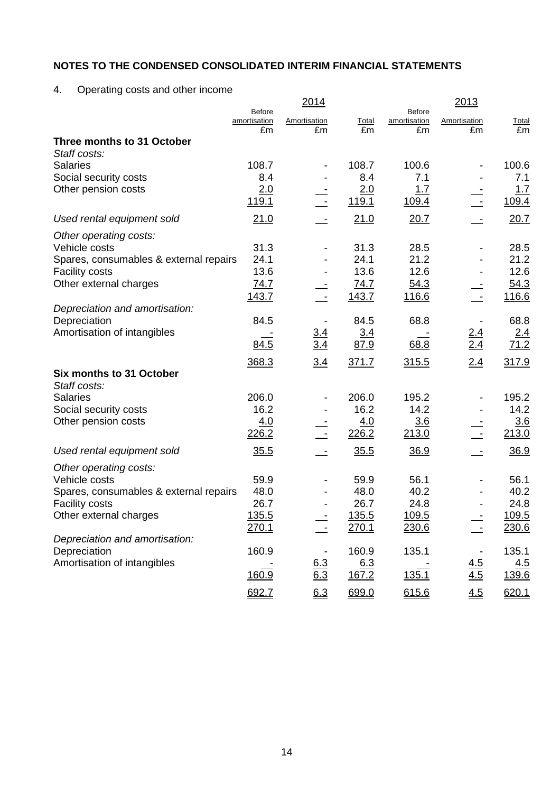4. Operating costs and other income

|                                        |                               | 2014                     |              |                               | 2013              |                    |
|----------------------------------------|-------------------------------|--------------------------|--------------|-------------------------------|-------------------|--------------------|
|                                        | <b>Before</b><br>amortisation | Amortisation             | <b>Total</b> | <b>Before</b><br>amortisation | Amortisation      | <b>Total</b>       |
|                                        | £m                            | £m                       | £m           | £m                            | £m                | £m                 |
| Three months to 31 October             |                               |                          |              |                               |                   |                    |
| Staff costs:                           |                               |                          |              |                               |                   |                    |
| <b>Salaries</b>                        | 108.7                         |                          | 108.7        | 100.6                         |                   | 100.6              |
| Social security costs                  | 8.4                           |                          | 8.4          | 7.1                           |                   | 7.1                |
| Other pension costs                    | 2.0                           |                          | 2.0          | 1.7                           |                   | 1.7                |
|                                        | <u>119.1</u>                  |                          | 119.1        | 109.4                         |                   | 109.4              |
| Used rental equipment sold             | 21.0                          |                          | 21.0         | 20.7                          |                   | 20.7               |
| Other operating costs:                 |                               |                          |              |                               |                   |                    |
| Vehicle costs                          | 31.3                          |                          | 31.3         | 28.5                          |                   | 28.5               |
| Spares, consumables & external repairs | 24.1                          |                          | 24.1         | 21.2                          |                   | 21.2               |
| <b>Facility costs</b>                  | 13.6                          |                          | 13.6         | 12.6                          |                   | 12.6               |
| Other external charges                 | <u>74.7</u>                   |                          | 74.7         | 54.3                          |                   | 54.3               |
|                                        | <u>143.7</u>                  |                          | 143.7        | 116.6                         |                   | 116.6              |
| Depreciation and amortisation:         |                               |                          |              |                               |                   |                    |
| Depreciation                           | 84.5                          |                          | 84.5         | 68.8                          |                   | 68.8               |
| Amortisation of intangibles            |                               | $\frac{3.4}{3.4}$        | 3.4          |                               | $\frac{2.4}{2.4}$ | $\frac{2.4}{71.2}$ |
|                                        | 84.5                          |                          | 87.9         | 68.8                          |                   |                    |
|                                        | 368.3                         | 3.4                      | 371.7        | 315.5                         | 2.4               | 317.9              |
| Six months to 31 October               |                               |                          |              |                               |                   |                    |
| Staff costs:                           |                               |                          |              |                               |                   |                    |
| <b>Salaries</b>                        | 206.0                         |                          | 206.0        | 195.2                         |                   | 195.2              |
| Social security costs                  | 16.2                          |                          | 16.2         | 14.2                          |                   | 14.2               |
| Other pension costs                    | 4.0                           |                          | 4.0          | 3.6                           |                   | 3.6                |
|                                        | 226.2                         |                          | 226.2        | 213.0                         |                   | 213.0              |
| Used rental equipment sold             | 35.5                          |                          | 35.5         | 36.9                          |                   | 36.9               |
| Other operating costs:                 |                               |                          |              |                               |                   |                    |
| Vehicle costs                          | 59.9                          |                          | 59.9         | 56.1                          |                   | 56.1               |
| Spares, consumables & external repairs | 48.0                          |                          | 48.0         | 40.2                          |                   | 40.2               |
| <b>Facility costs</b>                  | 26.7                          |                          | 26.7         | 24.8                          |                   | 24.8               |
| Other external charges                 | <u>135.5</u>                  | $\overline{\phantom{a}}$ | 135.5        | 109.5                         |                   | 109.5              |
|                                        | 270.1                         |                          | 270.1        | 230.6                         |                   | 230.6              |
| Depreciation and amortisation:         |                               |                          |              |                               |                   |                    |
| Depreciation                           | 160.9                         |                          | 160.9        | 135.1                         |                   | 135.1              |
| Amortisation of intangibles            |                               | <u>6.3</u>               | 6.3          |                               | <u>4.5</u>        | 4.5                |
|                                        | 160.9                         | 6.3                      | 167.2        | 135.1                         | 4.5               | 139.6              |
|                                        | 692.7                         | 6.3                      | 699.0        | 615.6                         | 4.5               | 620.1              |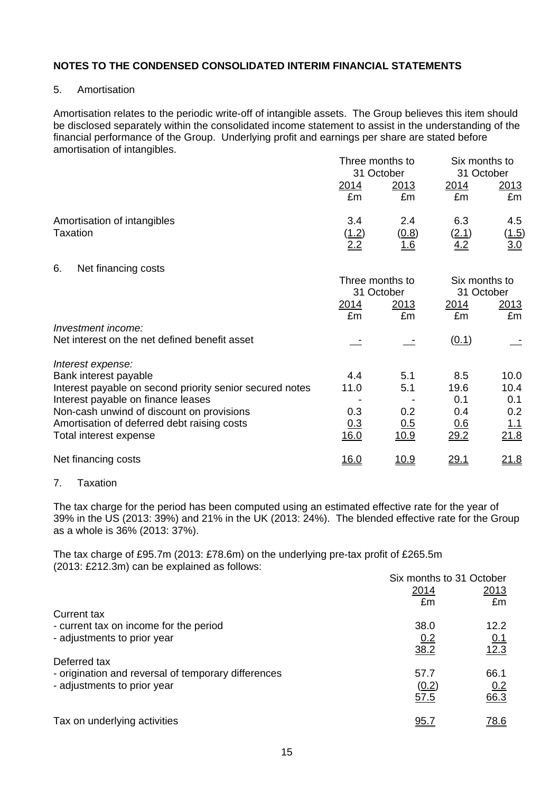## 5. Amortisation

Amortisation relates to the periodic write-off of intangible assets. The Group believes this item should be disclosed separately within the consolidated income statement to assist in the understanding of the financial performance of the Group. Underlying profit and earnings per share are stated before amortisation of intangibles.

|                                                                                                                                                                                                                                                                    | Three months to<br>31 October     |                                  |                                                 | Six months to<br>31 October               |  |
|--------------------------------------------------------------------------------------------------------------------------------------------------------------------------------------------------------------------------------------------------------------------|-----------------------------------|----------------------------------|-------------------------------------------------|-------------------------------------------|--|
|                                                                                                                                                                                                                                                                    | <u>2014</u><br>£m                 | <u> 2013</u><br>£m               | <u>2014</u><br>£m                               | <u> 2013 </u><br>£m                       |  |
| Amortisation of intangibles<br>Taxation                                                                                                                                                                                                                            | 3.4<br><u>(1.2)</u><br>2.2        | 2.4<br>(0.8)<br><u>1.6</u>       | 6.3<br><u>(2.1)</u><br>4.2                      | 4.5<br>( <u>1.5</u> )<br>3.0              |  |
| 6.<br>Net financing costs                                                                                                                                                                                                                                          |                                   | Three months to<br>31 October    | Six months to<br>31 October                     |                                           |  |
|                                                                                                                                                                                                                                                                    | 2014<br>£m                        | <u>2013</u><br>£m                | 2014<br>£m                                      | 2013<br>£m                                |  |
| Investment income:<br>Net interest on the net defined benefit asset                                                                                                                                                                                                |                                   |                                  | (0.1)                                           |                                           |  |
| Interest expense:<br>Bank interest payable<br>Interest payable on second priority senior secured notes<br>Interest payable on finance leases<br>Non-cash unwind of discount on provisions<br>Amortisation of deferred debt raising costs<br>Total interest expense | 4.4<br>11.0<br>0.3<br>0.3<br>16.0 | 5.1<br>5.1<br>0.2<br>0.5<br>10.9 | 8.5<br>19.6<br>0.1<br>0.4<br><u>0.6</u><br>29.2 | 10.0<br>10.4<br>0.1<br>0.2<br>1.1<br>21.8 |  |
| Net financing costs                                                                                                                                                                                                                                                | <u>16.0</u>                       | <u>10.9</u>                      | <u>29.1</u>                                     | <u> 21.8</u>                              |  |

## 7. Taxation

The tax charge for the period has been computed using an estimated effective rate for the year of 39% in the US (2013: 39%) and 21% in the UK (2013: 24%). The blended effective rate for the Group as a whole is 36% (2013: 37%).

The tax charge of £95.7m (2013: £78.6m) on the underlying pre-tax profit of £265.5m (2013: £212.3m) can be explained as follows:

|                                                     | Six months to 31 October |            |
|-----------------------------------------------------|--------------------------|------------|
|                                                     | 2014                     | 2013       |
|                                                     | £m                       | £m         |
| Current tax                                         |                          |            |
| - current tax on income for the period              | 38.0                     | 12.2       |
| - adjustments to prior year                         | 0.2                      | <u>0.1</u> |
|                                                     | 38.2                     | 12.3       |
| Deferred tax                                        |                          |            |
| - origination and reversal of temporary differences | 57.7                     | 66.1       |
| - adjustments to prior year                         | (0.2)                    | 0.2        |
|                                                     | 57.5                     | 66.3       |
| Tax on underlying activities                        | 95.7                     | 78.6       |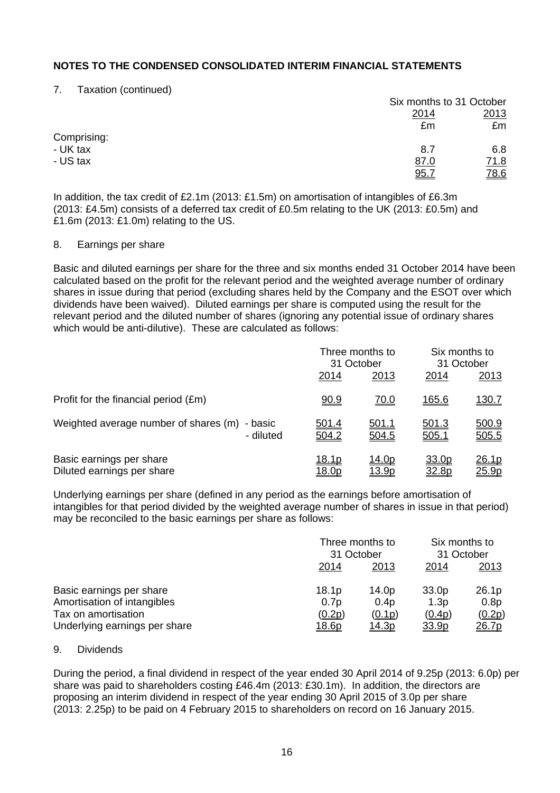7. Taxation (continued)

|             |             | Six months to 31 October |
|-------------|-------------|--------------------------|
|             | 2014        | 2013                     |
|             | £m          | £m                       |
| Comprising: |             |                          |
| - UK tax    | 8.7         | 6.8                      |
| - US tax    | <u>87.0</u> | <u>71.8</u>              |
|             | 95.7        | <u>78.6</u>              |

In addition, the tax credit of £2.1m (2013: £1.5m) on amortisation of intangibles of £6.3m (2013: £4.5m) consists of a deferred tax credit of £0.5m relating to the UK (2013: £0.5m) and £1.6m (2013: £1.0m) relating to the US.

#### 8. Earnings per share

Basic and diluted earnings per share for the three and six months ended 31 October 2014 have been calculated based on the profit for the relevant period and the weighted average number of ordinary shares in issue during that period (excluding shares held by the Company and the ESOT over which dividends have been waived). Diluted earnings per share is computed using the result for the relevant period and the diluted number of shares (ignoring any potential issue of ordinary shares which would be anti-dilutive). These are calculated as follows:

|                                                               |                               | Three months to<br>31 October  |                | Six months to<br>31 October |  |
|---------------------------------------------------------------|-------------------------------|--------------------------------|----------------|-----------------------------|--|
|                                                               | 2014                          | 2013                           | 2014           | 2013                        |  |
| Profit for the financial period (£m)                          | 90.9                          | <u>70.0</u>                    | <u>165.6</u>   | <u>130.7</u>                |  |
| Weighted average number of shares (m)<br>- basic<br>- diluted | <u>501.4</u><br>504.2         | <u>501.1</u><br>504.5          | 501.3<br>505.1 | 500.9<br>505.5              |  |
| Basic earnings per share<br>Diluted earnings per share        | <u>18.1p</u><br><u> 18.0p</u> | <u> 14.0p</u><br><u> 13.9p</u> | 33.0p<br>32.8p | <u>26.1p</u><br>25.9p       |  |

Underlying earnings per share (defined in any period as the earnings before amortisation of intangibles for that period divided by the weighted average number of shares in issue in that period) may be reconciled to the basic earnings per share as follows:

|                               |                   | Three months to<br>31 October |              | Six months to<br>31 October |  |
|-------------------------------|-------------------|-------------------------------|--------------|-----------------------------|--|
|                               | 2014              | 2013                          |              | 2013                        |  |
| Basic earnings per share      | 18.1 <sub>p</sub> | 14.0p                         | 33.0p        | 26.1p                       |  |
| Amortisation of intangibles   | 0.7p              | 0.4p                          | 1.3p         | 0.8p                        |  |
| Tax on amortisation           | (0.2p)            | (0.1p)                        | (0.4p)       | (0.2p)                      |  |
| Underlying earnings per share | <u> 18.6p</u>     | <u> 14.3p</u>                 | <u>33.9p</u> | <u>26.7p</u>                |  |

#### 9. Dividends

During the period, a final dividend in respect of the year ended 30 April 2014 of 9.25p (2013: 6.0p) per share was paid to shareholders costing £46.4m (2013: £30.1m). In addition, the directors are proposing an interim dividend in respect of the year ending 30 April 2015 of 3.0p per share (2013: 2.25p) to be paid on 4 February 2015 to shareholders on record on 16 January 2015.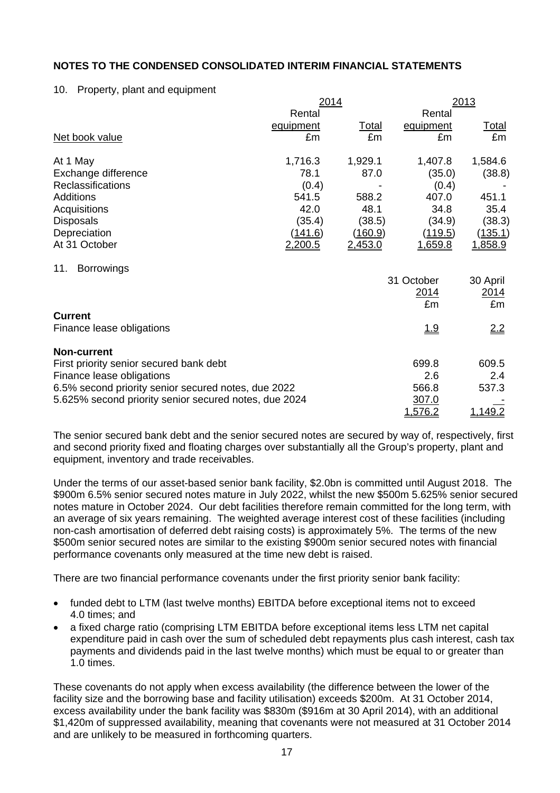#### 10. Property, plant and equipment

|                                                       | 2014             |                |                | <u> 2013</u> |  |  |
|-------------------------------------------------------|------------------|----------------|----------------|--------------|--|--|
|                                                       | Rental           |                | Rental         |              |  |  |
|                                                       | <u>equipment</u> | <u>Total</u>   | equipment      | <u>Total</u> |  |  |
| Net book value                                        | £m               | £m             | £m             | £m           |  |  |
| At 1 May                                              | 1,716.3          | 1,929.1        | 1,407.8        | 1,584.6      |  |  |
| Exchange difference                                   | 78.1             | 87.0           | (35.0)         | (38.8)       |  |  |
| Reclassifications                                     | (0.4)            |                | (0.4)          |              |  |  |
| Additions                                             | 541.5            | 588.2          | 407.0          | 451.1        |  |  |
| Acquisitions                                          | 42.0             | 48.1           | 34.8           | 35.4         |  |  |
| <b>Disposals</b>                                      | (35.4)           | (38.5)         | (34.9)         | (38.3)       |  |  |
| Depreciation                                          | <u>(141.6)</u>   | <u>(160.9)</u> | (119.5)        | (135.1)      |  |  |
| At 31 October                                         | 2,200.5          | 2,453.0        | <u>1,659.8</u> | 1,858.9      |  |  |
| <b>Borrowings</b><br>11.                              |                  |                |                |              |  |  |
|                                                       |                  |                | 31 October     | 30 April     |  |  |
|                                                       |                  |                | 2014           | 2014         |  |  |
|                                                       |                  |                | £m             | £m           |  |  |
| <b>Current</b>                                        |                  |                |                |              |  |  |
| Finance lease obligations                             |                  |                | <u> 1.9</u>    | 2.2          |  |  |
| <b>Non-current</b>                                    |                  |                |                |              |  |  |
| First priority senior secured bank debt               |                  |                | 699.8          | 609.5        |  |  |
| Finance lease obligations                             |                  |                | 2.6            | 2.4          |  |  |
| 6.5% second priority senior secured notes, due 2022   |                  |                | 566.8          | 537.3        |  |  |
| 5.625% second priority senior secured notes, due 2024 |                  |                | 307.0          |              |  |  |
|                                                       |                  |                | 1,576.2        | 1,149.2      |  |  |

The senior secured bank debt and the senior secured notes are secured by way of, respectively, first and second priority fixed and floating charges over substantially all the Group's property, plant and equipment, inventory and trade receivables.

Under the terms of our asset-based senior bank facility, \$2.0bn is committed until August 2018. The \$900m 6.5% senior secured notes mature in July 2022, whilst the new \$500m 5.625% senior secured notes mature in October 2024. Our debt facilities therefore remain committed for the long term, with an average of six years remaining. The weighted average interest cost of these facilities (including non-cash amortisation of deferred debt raising costs) is approximately 5%. The terms of the new \$500m senior secured notes are similar to the existing \$900m senior secured notes with financial performance covenants only measured at the time new debt is raised.

There are two financial performance covenants under the first priority senior bank facility:

- funded debt to LTM (last twelve months) EBITDA before exceptional items not to exceed 4.0 times; and
- a fixed charge ratio (comprising LTM EBITDA before exceptional items less LTM net capital expenditure paid in cash over the sum of scheduled debt repayments plus cash interest, cash tax payments and dividends paid in the last twelve months) which must be equal to or greater than 1.0 times.

These covenants do not apply when excess availability (the difference between the lower of the facility size and the borrowing base and facility utilisation) exceeds \$200m. At 31 October 2014, excess availability under the bank facility was \$830m (\$916m at 30 April 2014), with an additional \$1,420m of suppressed availability, meaning that covenants were not measured at 31 October 2014 and are unlikely to be measured in forthcoming quarters.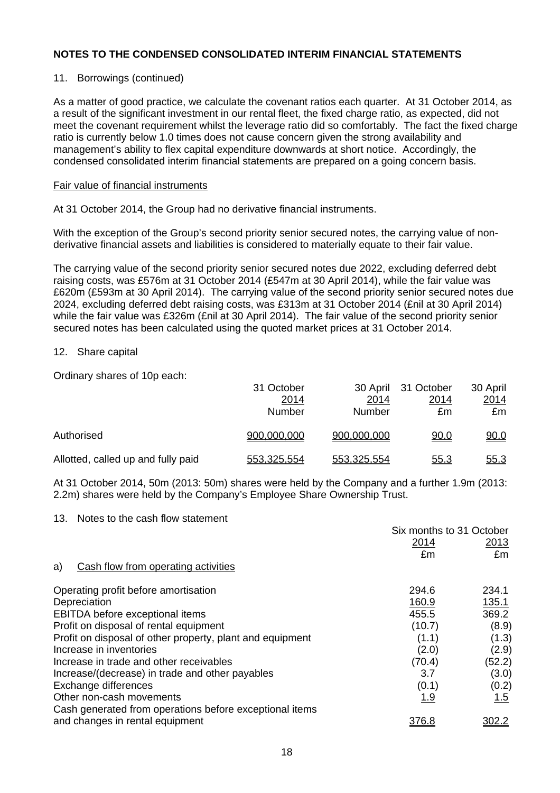## 11. Borrowings (continued)

As a matter of good practice, we calculate the covenant ratios each quarter. At 31 October 2014, as a result of the significant investment in our rental fleet, the fixed charge ratio, as expected, did not meet the covenant requirement whilst the leverage ratio did so comfortably. The fact the fixed charge ratio is currently below 1.0 times does not cause concern given the strong availability and management's ability to flex capital expenditure downwards at short notice. Accordingly, the condensed consolidated interim financial statements are prepared on a going concern basis.

#### Fair value of financial instruments

At 31 October 2014, the Group had no derivative financial instruments.

With the exception of the Group's second priority senior secured notes, the carrying value of nonderivative financial assets and liabilities is considered to materially equate to their fair value.

The carrying value of the second priority senior secured notes due 2022, excluding deferred debt raising costs, was £576m at 31 October 2014 (£547m at 30 April 2014), while the fair value was £620m (£593m at 30 April 2014). The carrying value of the second priority senior secured notes due 2024, excluding deferred debt raising costs, was £313m at 31 October 2014 (£nil at 30 April 2014) while the fair value was £326m (£nil at 30 April 2014). The fair value of the second priority senior secured notes has been calculated using the quoted market prices at 31 October 2014.

#### 12. Share capital

Ordinary shares of 10p each:

|                                    | 31 October  |             | 30 April 31 October | 30 April    |
|------------------------------------|-------------|-------------|---------------------|-------------|
|                                    | 2014        | 2014        | 2014                | <u>2014</u> |
|                                    | Number      | Number      | £m                  | £m          |
| Authorised                         | 900,000,000 | 900,000,000 | <u>90.0</u>         | 90.0        |
| Allotted, called up and fully paid | 553,325,554 | 553,325,554 | <u>55.3</u>         | <u>55.3</u> |

At 31 October 2014, 50m (2013: 50m) shares were held by the Company and a further 1.9m (2013: 2.2m) shares were held by the Company's Employee Share Ownership Trust.

#### 13. Notes to the cash flow statement

|                                                           | Six months to 31 October |        |
|-----------------------------------------------------------|--------------------------|--------|
|                                                           | 2014                     | 2013   |
|                                                           | £m                       | £m     |
| Cash flow from operating activities<br>a)                 |                          |        |
| Operating profit before amortisation                      | 294.6                    | 234.1  |
| Depreciation                                              | 160.9                    | 135.1  |
| EBITDA before exceptional items                           | 455.5                    | 369.2  |
| Profit on disposal of rental equipment                    | (10.7)                   | (8.9)  |
| Profit on disposal of other property, plant and equipment | (1.1)                    | (1.3)  |
| Increase in inventories                                   | (2.0)                    | (2.9)  |
| Increase in trade and other receivables                   | (70.4)                   | (52.2) |
| Increase/(decrease) in trade and other payables           | 3.7                      | (3.0)  |
| Exchange differences                                      | (0.1)                    | (0.2)  |
| Other non-cash movements                                  | 1.9                      | 1.5    |
| Cash generated from operations before exceptional items   |                          |        |
| and changes in rental equipment                           | <u>376.8</u>             |        |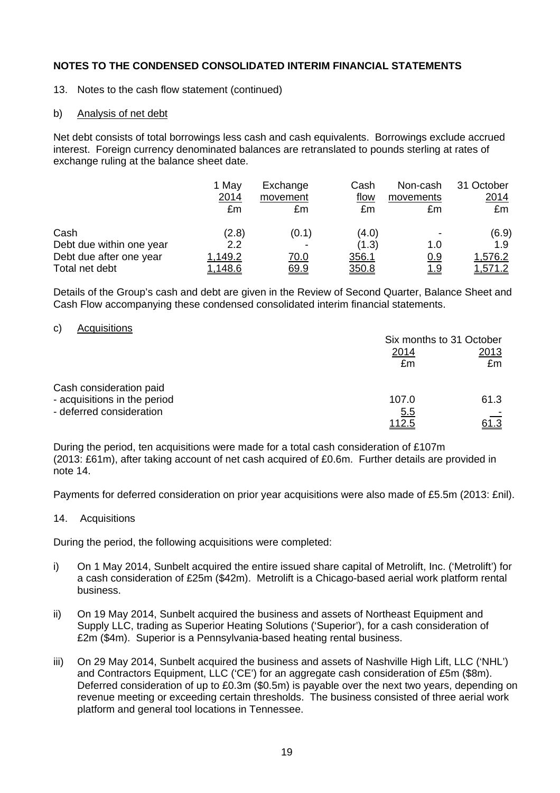- 13. Notes to the cash flow statement (continued)
- b) Analysis of net debt

Net debt consists of total borrowings less cash and cash equivalents. Borrowings exclude accrued interest. Foreign currency denominated balances are retranslated to pounds sterling at rates of exchange ruling at the balance sheet date.

|                          | 1 May<br>2014<br>£m | Exchange<br>movement<br>£m | Cash<br>flow<br>£m | Non-cash<br>movements<br>£m | 31 October<br>2014<br>£m |
|--------------------------|---------------------|----------------------------|--------------------|-----------------------------|--------------------------|
| Cash                     | (2.8)               | (0.1)                      | (4.0)              |                             | (6.9)                    |
| Debt due within one year | $2.2\phantom{0}$    |                            | (1.3)              | 1.0                         | 1.9                      |
| Debt due after one year  | 1,149.2             | <u>70.0</u>                | 356.1              | <u>0.9</u>                  | 1,576.2                  |
| Total net debt           | <u>1,148.6</u>      | 69.9                       | 350.8              | <u> 1.9</u>                 | 1,571.2                  |

Details of the Group's cash and debt are given in the Review of Second Quarter, Balance Sheet and Cash Flow accompanying these condensed consolidated interim financial statements.

#### c) Acquisitions

|                              | Six months to 31 October |             |  |
|------------------------------|--------------------------|-------------|--|
|                              | <u>2014</u>              | 2013        |  |
|                              | £m                       | £m          |  |
| Cash consideration paid      |                          |             |  |
| - acquisitions in the period | 107.0                    | 61.3        |  |
| - deferred consideration     | <u>5.5</u>               |             |  |
|                              | <u> 112.5</u>            | <u>61.3</u> |  |

During the period, ten acquisitions were made for a total cash consideration of £107m (2013: £61m), after taking account of net cash acquired of £0.6m. Further details are provided in note 14.

Payments for deferred consideration on prior year acquisitions were also made of £5.5m (2013: £nil).

14. Acquisitions

During the period, the following acquisitions were completed:

- i) On 1 May 2014, Sunbelt acquired the entire issued share capital of Metrolift, Inc. ('Metrolift') for a cash consideration of £25m (\$42m). Metrolift is a Chicago-based aerial work platform rental business.
- ii) On 19 May 2014, Sunbelt acquired the business and assets of Northeast Equipment and Supply LLC, trading as Superior Heating Solutions ('Superior'), for a cash consideration of £2m (\$4m). Superior is a Pennsylvania-based heating rental business.
- iii) On 29 May 2014, Sunbelt acquired the business and assets of Nashville High Lift, LLC ('NHL') and Contractors Equipment, LLC ('CE') for an aggregate cash consideration of £5m (\$8m). Deferred consideration of up to £0.3m (\$0.5m) is payable over the next two years, depending on revenue meeting or exceeding certain thresholds. The business consisted of three aerial work platform and general tool locations in Tennessee.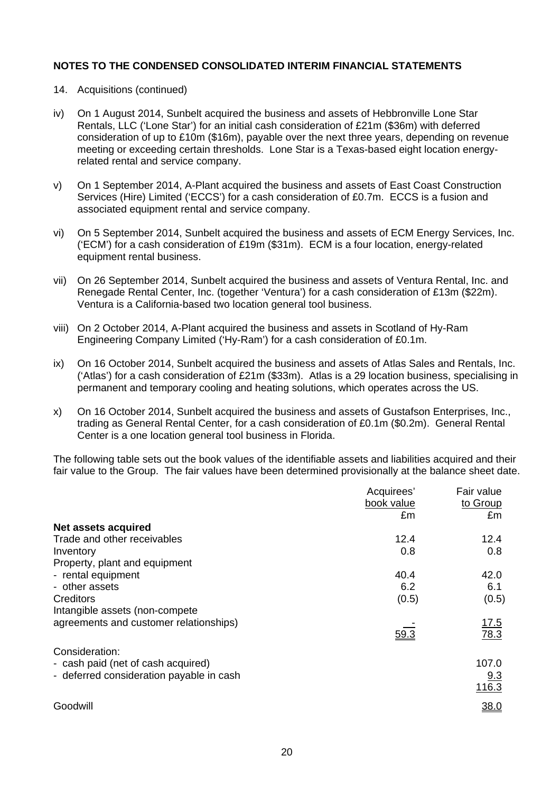- 14. Acquisitions (continued)
- iv) On 1 August 2014, Sunbelt acquired the business and assets of Hebbronville Lone Star Rentals, LLC ('Lone Star') for an initial cash consideration of £21m (\$36m) with deferred consideration of up to £10m (\$16m), payable over the next three years, depending on revenue meeting or exceeding certain thresholds. Lone Star is a Texas-based eight location energyrelated rental and service company.
- v) On 1 September 2014, A-Plant acquired the business and assets of East Coast Construction Services (Hire) Limited ('ECCS') for a cash consideration of £0.7m. ECCS is a fusion and associated equipment rental and service company.
- vi) On 5 September 2014, Sunbelt acquired the business and assets of ECM Energy Services, Inc. ('ECM') for a cash consideration of £19m (\$31m). ECM is a four location, energy-related equipment rental business.
- vii) On 26 September 2014, Sunbelt acquired the business and assets of Ventura Rental, Inc. and Renegade Rental Center, Inc. (together 'Ventura') for a cash consideration of £13m (\$22m). Ventura is a California-based two location general tool business.
- viii) On 2 October 2014, A-Plant acquired the business and assets in Scotland of Hy-Ram Engineering Company Limited ('Hy-Ram') for a cash consideration of £0.1m.
- ix) On 16 October 2014, Sunbelt acquired the business and assets of Atlas Sales and Rentals, Inc. ('Atlas') for a cash consideration of £21m (\$33m). Atlas is a 29 location business, specialising in permanent and temporary cooling and heating solutions, which operates across the US.
- x) On 16 October 2014, Sunbelt acquired the business and assets of Gustafson Enterprises, Inc., trading as General Rental Center, for a cash consideration of £0.1m (\$0.2m). General Rental Center is a one location general tool business in Florida.

The following table sets out the book values of the identifiable assets and liabilities acquired and their fair value to the Group. The fair values have been determined provisionally at the balance sheet date.

|                                          | Acquirees'<br>book value | Fair value<br>to Group |
|------------------------------------------|--------------------------|------------------------|
|                                          | £m                       | £m                     |
| Net assets acquired                      |                          |                        |
| Trade and other receivables              | 12.4                     | 12.4                   |
| Inventory                                | 0.8                      | 0.8                    |
| Property, plant and equipment            |                          |                        |
| - rental equipment                       | 40.4                     | 42.0                   |
| - other assets                           | 6.2                      | 6.1                    |
| Creditors                                | (0.5)                    | (0.5)                  |
| Intangible assets (non-compete)          |                          |                        |
| agreements and customer relationships)   |                          | 17.5                   |
|                                          | 59.3                     | 78.3                   |
| Consideration:                           |                          |                        |
| - cash paid (net of cash acquired)       |                          | 107.0                  |
| - deferred consideration payable in cash |                          | 9.3                    |
|                                          |                          | 116.3                  |
| Goodwill                                 |                          | 38.0                   |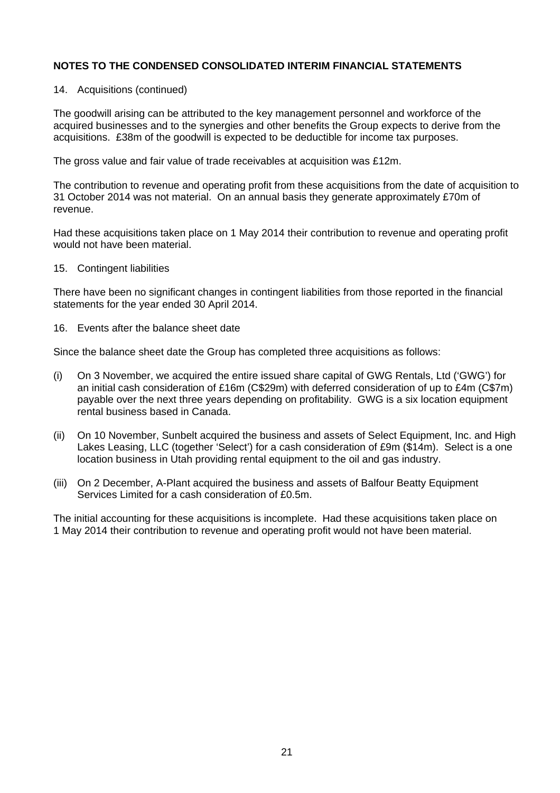#### 14. Acquisitions (continued)

The goodwill arising can be attributed to the key management personnel and workforce of the acquired businesses and to the synergies and other benefits the Group expects to derive from the acquisitions. £38m of the goodwill is expected to be deductible for income tax purposes.

The gross value and fair value of trade receivables at acquisition was £12m.

The contribution to revenue and operating profit from these acquisitions from the date of acquisition to 31 October 2014 was not material. On an annual basis they generate approximately £70m of revenue.

Had these acquisitions taken place on 1 May 2014 their contribution to revenue and operating profit would not have been material.

15. Contingent liabilities

There have been no significant changes in contingent liabilities from those reported in the financial statements for the year ended 30 April 2014.

16. Events after the balance sheet date

Since the balance sheet date the Group has completed three acquisitions as follows:

- (i) On 3 November, we acquired the entire issued share capital of GWG Rentals, Ltd ('GWG') for an initial cash consideration of £16m (C\$29m) with deferred consideration of up to £4m (C\$7m) payable over the next three years depending on profitability. GWG is a six location equipment rental business based in Canada.
- (ii) On 10 November, Sunbelt acquired the business and assets of Select Equipment, Inc. and High Lakes Leasing, LLC (together 'Select') for a cash consideration of £9m (\$14m). Select is a one location business in Utah providing rental equipment to the oil and gas industry.
- (iii) On 2 December, A-Plant acquired the business and assets of Balfour Beatty Equipment Services Limited for a cash consideration of £0.5m.

The initial accounting for these acquisitions is incomplete. Had these acquisitions taken place on 1 May 2014 their contribution to revenue and operating profit would not have been material.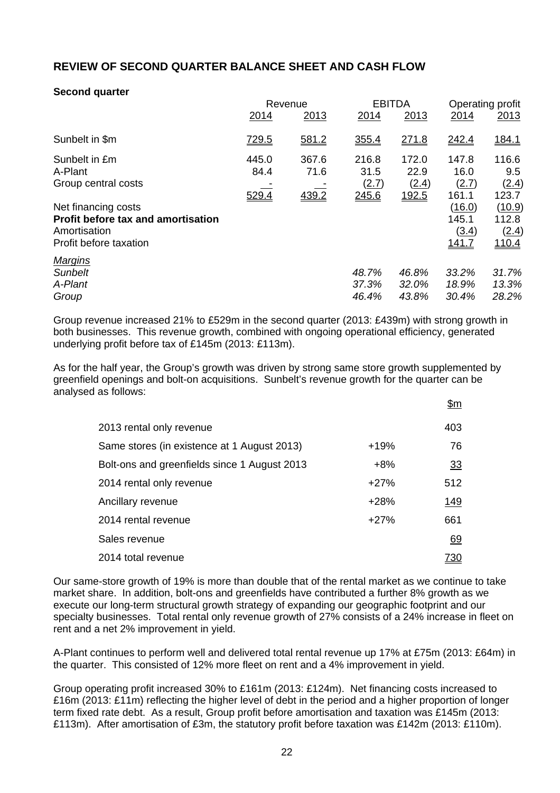# **REVIEW OF SECOND QUARTER BALANCE SHEET AND CASH FLOW**

## **Second quarter**

|                                                                                                            | Revenue                |                        |                                        | <b>EBITDA</b>                          |                                          | Operating profit                         |  |
|------------------------------------------------------------------------------------------------------------|------------------------|------------------------|----------------------------------------|----------------------------------------|------------------------------------------|------------------------------------------|--|
|                                                                                                            | 2014                   | 2013                   | 2014                                   | 2013                                   | 2014                                     | 2013                                     |  |
| Sunbelt in \$m                                                                                             | <u>729.5</u>           | 581.2                  | 355.4                                  | 271.8                                  | 242.4                                    | <u>184.1</u>                             |  |
| Sunbelt in £m<br>A-Plant<br>Group central costs                                                            | 445.0<br>84.4<br>529.4 | 367.6<br>71.6<br>439.2 | 216.8<br>31.5<br><u>(2.7)</u><br>245.6 | 172.0<br>22.9<br>(2.4)<br><u>192.5</u> | 147.8<br>16.0<br>(2.7)<br>161.1          | 116.6<br>9.5<br>(2.4)<br>123.7           |  |
| Net financing costs<br><b>Profit before tax and amortisation</b><br>Amortisation<br>Profit before taxation |                        |                        |                                        |                                        | (16.0)<br>145.1<br>(3.4)<br><u>141.7</u> | (10.9)<br>112.8<br>(2.4)<br><u>110.4</u> |  |
| <b>Margins</b><br><b>Sunbelt</b><br>A-Plant<br>Group                                                       |                        |                        | 48.7%<br>37.3%<br>46.4%                | 46.8%<br>32.0%<br>43.8%                | 33.2%<br>18.9%<br>30.4%                  | 31.7%<br>13.3%<br>28.2%                  |  |

Group revenue increased 21% to £529m in the second quarter (2013: £439m) with strong growth in both businesses. This revenue growth, combined with ongoing operational efficiency, generated underlying profit before tax of £145m (2013: £113m).

As for the half year, the Group's growth was driven by strong same store growth supplemented by greenfield openings and bolt-on acquisitions. Sunbelt's revenue growth for the quarter can be analysed as follows:  $\uparrow$ 

|                                              |        | จш         |
|----------------------------------------------|--------|------------|
| 2013 rental only revenue                     |        | 403        |
| Same stores (in existence at 1 August 2013)  | $+19%$ | 76         |
| Bolt-ons and greenfields since 1 August 2013 | $+8%$  | 33         |
| 2014 rental only revenue                     | $+27%$ | 512        |
| Ancillary revenue                            | $+28%$ | <u>149</u> |
| 2014 rental revenue                          | $+27%$ | 661        |
| Sales revenue                                |        | 69         |
| 2014 total revenue                           |        | <u>730</u> |

Our same-store growth of 19% is more than double that of the rental market as we continue to take market share. In addition, bolt-ons and greenfields have contributed a further 8% growth as we execute our long-term structural growth strategy of expanding our geographic footprint and our specialty businesses. Total rental only revenue growth of 27% consists of a 24% increase in fleet on rent and a net 2% improvement in yield.

A-Plant continues to perform well and delivered total rental revenue up 17% at £75m (2013: £64m) in the quarter. This consisted of 12% more fleet on rent and a 4% improvement in yield.

Group operating profit increased 30% to £161m (2013: £124m). Net financing costs increased to £16m (2013: £11m) reflecting the higher level of debt in the period and a higher proportion of longer term fixed rate debt. As a result, Group profit before amortisation and taxation was £145m (2013: £113m). After amortisation of £3m, the statutory profit before taxation was £142m (2013: £110m).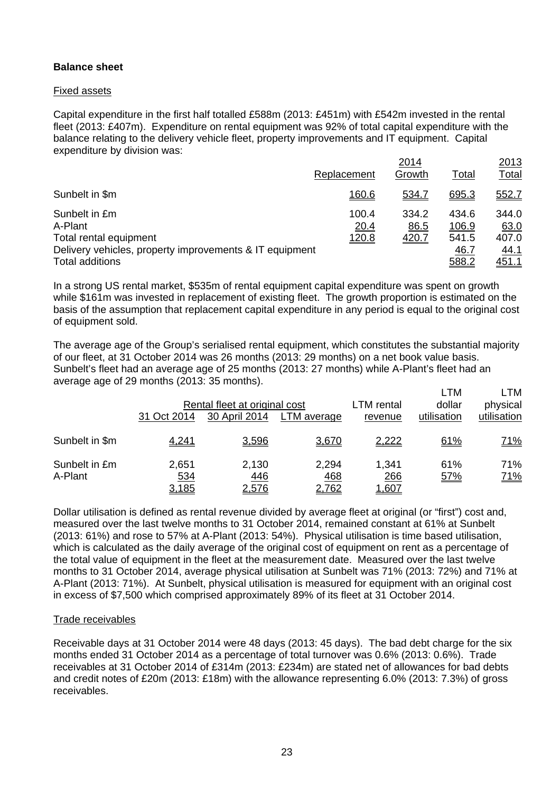## **Balance sheet**

## Fixed assets

Capital expenditure in the first half totalled £588m (2013: £451m) with £542m invested in the rental fleet (2013: £407m). Expenditure on rental equipment was 92% of total capital expenditure with the balance relating to the delivery vehicle fleet, property improvements and IT equipment. Capital expenditure by division was:

|                                                         |               | 2014          |                | 2013          |
|---------------------------------------------------------|---------------|---------------|----------------|---------------|
|                                                         | Replacement   | Growth        | Total          | <b>Total</b>  |
| Sunbelt in \$m                                          | <u>160.6</u>  | 534.7         | 695.3          | 552.7         |
| Sunbelt in £m<br>A-Plant                                | 100.4<br>20.4 | 334.2<br>86.5 | 434.6<br>106.9 | 344.0<br>63.0 |
| Total rental equipment                                  | <u>120.8</u>  | <u>420.7</u>  | 541.5          | 407.0         |
| Delivery vehicles, property improvements & IT equipment |               |               | <u>46.7</u>    | <u>44.1</u>   |
| <b>Total additions</b>                                  |               |               | 588.2          | <u>451.1</u>  |

In a strong US rental market, \$535m of rental equipment capital expenditure was spent on growth while \$161m was invested in replacement of existing fleet. The growth proportion is estimated on the basis of the assumption that replacement capital expenditure in any period is equal to the original cost of equipment sold.

The average age of the Group's serialised rental equipment, which constitutes the substantial majority of our fleet, at 31 October 2014 was 26 months (2013: 29 months) on a net book value basis. Sunbelt's fleet had an average age of 25 months (2013: 27 months) while A-Plant's fleet had an average age of 29 months (2013: 35 months).

|                          | 31 Oct 2014                  | Rental fleet at original cost<br>30 April 2014 | LTM average                         | LTM rental<br>revenue               | LTM<br>dollar<br>utilisation | LTM<br>physical<br>utilisation |
|--------------------------|------------------------------|------------------------------------------------|-------------------------------------|-------------------------------------|------------------------------|--------------------------------|
| Sunbelt in \$m           | 4,241                        | 3,596                                          | 3,670                               | <u>2,222</u>                        | 61%                          | <u>71%</u>                     |
| Sunbelt in £m<br>A-Plant | 2,651<br>534<br><u>3,185</u> | 2,130<br>446<br><u>2,576</u>                   | 2,294<br><u>468</u><br><u>2,762</u> | 1,341<br><u>266</u><br><u>607. </u> | 61%<br>57%                   | 71%<br><u>71%</u>              |

Dollar utilisation is defined as rental revenue divided by average fleet at original (or "first") cost and, measured over the last twelve months to 31 October 2014, remained constant at 61% at Sunbelt (2013: 61%) and rose to 57% at A-Plant (2013: 54%). Physical utilisation is time based utilisation, which is calculated as the daily average of the original cost of equipment on rent as a percentage of the total value of equipment in the fleet at the measurement date. Measured over the last twelve months to 31 October 2014, average physical utilisation at Sunbelt was 71% (2013: 72%) and 71% at A-Plant (2013: 71%). At Sunbelt, physical utilisation is measured for equipment with an original cost in excess of \$7,500 which comprised approximately 89% of its fleet at 31 October 2014.

## Trade receivables

Receivable days at 31 October 2014 were 48 days (2013: 45 days). The bad debt charge for the six months ended 31 October 2014 as a percentage of total turnover was 0.6% (2013: 0.6%). Trade receivables at 31 October 2014 of £314m (2013: £234m) are stated net of allowances for bad debts and credit notes of £20m (2013: £18m) with the allowance representing 6.0% (2013: 7.3%) of gross receivables.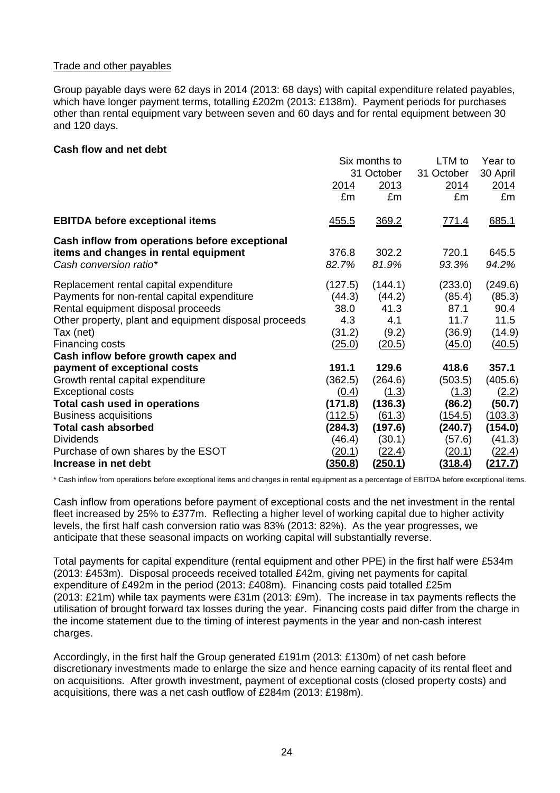## Trade and other payables

Group payable days were 62 days in 2014 (2013: 68 days) with capital expenditure related payables, which have longer payment terms, totalling £202m (2013: £138m). Payment periods for purchases other than rental equipment vary between seven and 60 days and for rental equipment between 30 and 120 days.

#### **Cash flow and net debt**

|                                                       | Six months to |               | LTM to       | Year to        |
|-------------------------------------------------------|---------------|---------------|--------------|----------------|
|                                                       |               | 31 October    | 31 October   | 30 April       |
|                                                       | <u> 2014 </u> | 2013          | 2014         | 2014           |
|                                                       | £m            | £m            | £m           | £m             |
| <b>EBITDA before exceptional items</b>                | <u>455.5</u>  | <u>369.2</u>  | <u>771.4</u> | 685.1          |
| Cash inflow from operations before exceptional        |               |               |              |                |
| items and changes in rental equipment                 | 376.8         | 302.2         | 720.1        | 645.5          |
| Cash conversion ratio*                                | 82.7%         | 81.9%         | 93.3%        | 94.2%          |
| Replacement rental capital expenditure                | (127.5)       | (144.1)       | (233.0)      | (249.6)        |
| Payments for non-rental capital expenditure           | (44.3)        | (44.2)        | (85.4)       | (85.3)         |
| Rental equipment disposal proceeds                    | 38.0          | 41.3          | 87.1         | 90.4           |
| Other property, plant and equipment disposal proceeds | 4.3           | 4.1           | 11.7         | 11.5           |
| Tax (net)                                             | (31.2)        | (9.2)         | (36.9)       | (14.9)         |
| Financing costs                                       | (25.0)        | (20.5)        | (45.0)       | (40.5)         |
| Cash inflow before growth capex and                   |               |               |              |                |
| payment of exceptional costs                          | 191.1         | 129.6         | 418.6        | 357.1          |
| Growth rental capital expenditure                     | (362.5)       | (264.6)       | (503.5)      | (405.6)        |
| <b>Exceptional costs</b>                              | (0.4)         | (1.3)         | (1.3)        | (2.2)          |
| Total cash used in operations                         | (171.8)       | (136.3)       | (86.2)       | (50.7)         |
| <b>Business acquisitions</b>                          | (112.5)       | <u>(61.3)</u> | (154.5)      | (103.3)        |
| <b>Total cash absorbed</b>                            | (284.3)       | (197.6)       | (240.7)      | (154.0)        |
| <b>Dividends</b>                                      | (46.4)        | (30.1)        | (57.6)       | (41.3)         |
| Purchase of own shares by the ESOT                    | (20.1)        | (22.4)        | (20.1)       | (22.4)         |
| Increase in net debt                                  | (350.8)       | (250.1)       | (318.4)      | <u>(217.7)</u> |

\* Cash inflow from operations before exceptional items and changes in rental equipment as a percentage of EBITDA before exceptional items.

Cash inflow from operations before payment of exceptional costs and the net investment in the rental fleet increased by 25% to £377m. Reflecting a higher level of working capital due to higher activity levels, the first half cash conversion ratio was 83% (2013: 82%). As the year progresses, we anticipate that these seasonal impacts on working capital will substantially reverse.

Total payments for capital expenditure (rental equipment and other PPE) in the first half were £534m (2013: £453m). Disposal proceeds received totalled £42m, giving net payments for capital expenditure of £492m in the period (2013: £408m). Financing costs paid totalled £25m (2013: £21m) while tax payments were £31m (2013: £9m). The increase in tax payments reflects the utilisation of brought forward tax losses during the year. Financing costs paid differ from the charge in the income statement due to the timing of interest payments in the year and non-cash interest charges.

Accordingly, in the first half the Group generated £191m (2013: £130m) of net cash before discretionary investments made to enlarge the size and hence earning capacity of its rental fleet and on acquisitions. After growth investment, payment of exceptional costs (closed property costs) and acquisitions, there was a net cash outflow of £284m (2013: £198m).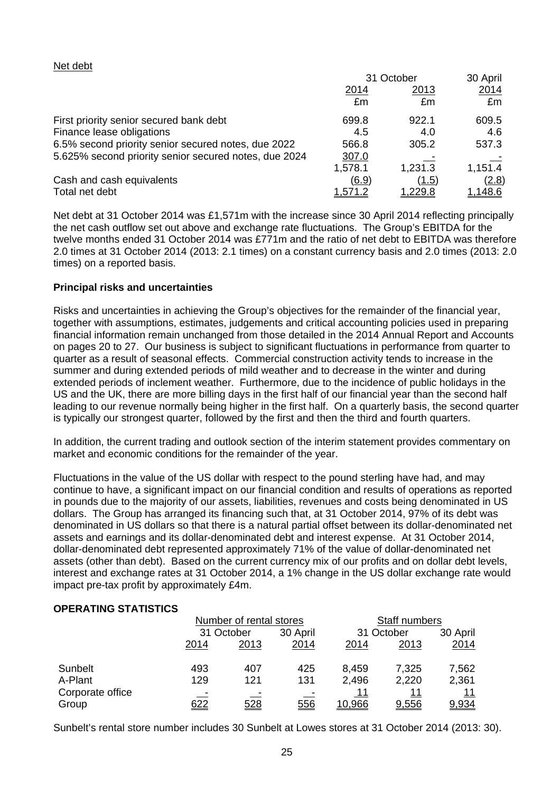#### Net debt

|                                                       | 31 October  |                | 30 April       |
|-------------------------------------------------------|-------------|----------------|----------------|
|                                                       | <u>2014</u> | <u> 2013</u>   | 2014           |
|                                                       | £m          | £m             | £m             |
| First priority senior secured bank debt               | 699.8       | 922.1          | 609.5          |
| Finance lease obligations                             | 4.5         | 4.0            | 4.6            |
| 6.5% second priority senior secured notes, due 2022   | 566.8       | 305.2          | 537.3          |
| 5.625% second priority senior secured notes, due 2024 | 307.0       |                |                |
|                                                       | 1,578.1     | 1,231.3        | 1,151.4        |
| Cash and cash equivalents                             | (6.9)       | <u>(1.5)</u>   | (2.8)          |
| Total net debt                                        | 1,571.2     | <u>1,229.8</u> | <u>1.148.6</u> |

Net debt at 31 October 2014 was £1,571m with the increase since 30 April 2014 reflecting principally the net cash outflow set out above and exchange rate fluctuations. The Group's EBITDA for the twelve months ended 31 October 2014 was £771m and the ratio of net debt to EBITDA was therefore 2.0 times at 31 October 2014 (2013: 2.1 times) on a constant currency basis and 2.0 times (2013: 2.0 times) on a reported basis.

## **Principal risks and uncertainties**

Risks and uncertainties in achieving the Group's objectives for the remainder of the financial year, together with assumptions, estimates, judgements and critical accounting policies used in preparing financial information remain unchanged from those detailed in the 2014 Annual Report and Accounts on pages 20 to 27. Our business is subject to significant fluctuations in performance from quarter to quarter as a result of seasonal effects. Commercial construction activity tends to increase in the summer and during extended periods of mild weather and to decrease in the winter and during extended periods of inclement weather. Furthermore, due to the incidence of public holidays in the US and the UK, there are more billing days in the first half of our financial year than the second half leading to our revenue normally being higher in the first half. On a quarterly basis, the second quarter is typically our strongest quarter, followed by the first and then the third and fourth quarters.

In addition, the current trading and outlook section of the interim statement provides commentary on market and economic conditions for the remainder of the year.

Fluctuations in the value of the US dollar with respect to the pound sterling have had, and may continue to have, a significant impact on our financial condition and results of operations as reported in pounds due to the majority of our assets, liabilities, revenues and costs being denominated in US dollars. The Group has arranged its financing such that, at 31 October 2014, 97% of its debt was denominated in US dollars so that there is a natural partial offset between its dollar-denominated net assets and earnings and its dollar-denominated debt and interest expense. At 31 October 2014, dollar-denominated debt represented approximately 71% of the value of dollar-denominated net assets (other than debt). Based on the current currency mix of our profits and on dollar debt levels, interest and exchange rates at 31 October 2014, a 1% change in the US dollar exchange rate would impact pre-tax profit by approximately £4m.

#### **OPERATING STATISTICS**

|                           | Number of rental stores |            |          | Staff numbers        |             |                     |
|---------------------------|-------------------------|------------|----------|----------------------|-------------|---------------------|
|                           | 31 October              |            | 30 April | 31 October           |             | 30 April            |
|                           | 2014<br>2013            | 2014       | 2014     | 2013                 | 2014        |                     |
| Sunbelt                   | 493                     | 407        | 425      | 8,459                | 7,325       | 7,562               |
| A-Plant                   | 129                     | 121        | 131      | 2,496                | 2,220       | 2,361               |
| Corporate office<br>Group | <u>622</u>              | <u>528</u> | 556      | 11<br><u> 10.966</u> | 11<br>9,556 | <u> 11</u><br>9,934 |

Sunbelt's rental store number includes 30 Sunbelt at Lowes stores at 31 October 2014 (2013: 30).